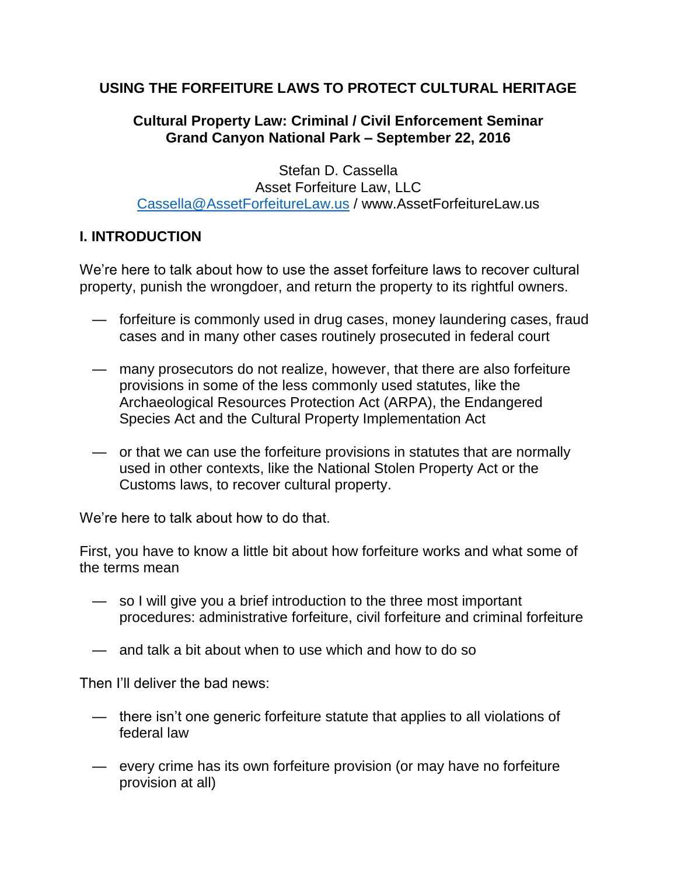# **USING THE FORFEITURE LAWS TO PROTECT CULTURAL HERITAGE**

# **Cultural Property Law: Criminal / Civil Enforcement Seminar Grand Canyon National Park – September 22, 2016**

 Stefan D. Cassella Asset Forfeiture Law, LLC [Cassella@AssetForfeitureLaw.us](mailto:Cassella@AssetForfeitureLaw.us) / www.AssetForfeitureLaw.us

# **I. INTRODUCTION**

We're here to talk about how to use the asset forfeiture laws to recover cultural property, punish the wrongdoer, and return the property to its rightful owners.

- forfeiture is commonly used in drug cases, money laundering cases, fraud cases and in many other cases routinely prosecuted in federal court
- many prosecutors do not realize, however, that there are also forfeiture provisions in some of the less commonly used statutes, like the Archaeological Resources Protection Act (ARPA), the Endangered Species Act and the Cultural Property Implementation Act
- or that we can use the forfeiture provisions in statutes that are normally used in other contexts, like the National Stolen Property Act or the Customs laws, to recover cultural property.

We're here to talk about how to do that.

First, you have to know a little bit about how forfeiture works and what some of the terms mean

- so I will give you a brief introduction to the three most important procedures: administrative forfeiture, civil forfeiture and criminal forfeiture
- and talk a bit about when to use which and how to do so

Then I'll deliver the bad news:

- there isn't one generic forfeiture statute that applies to all violations of federal law
- every crime has its own forfeiture provision (or may have no forfeiture provision at all)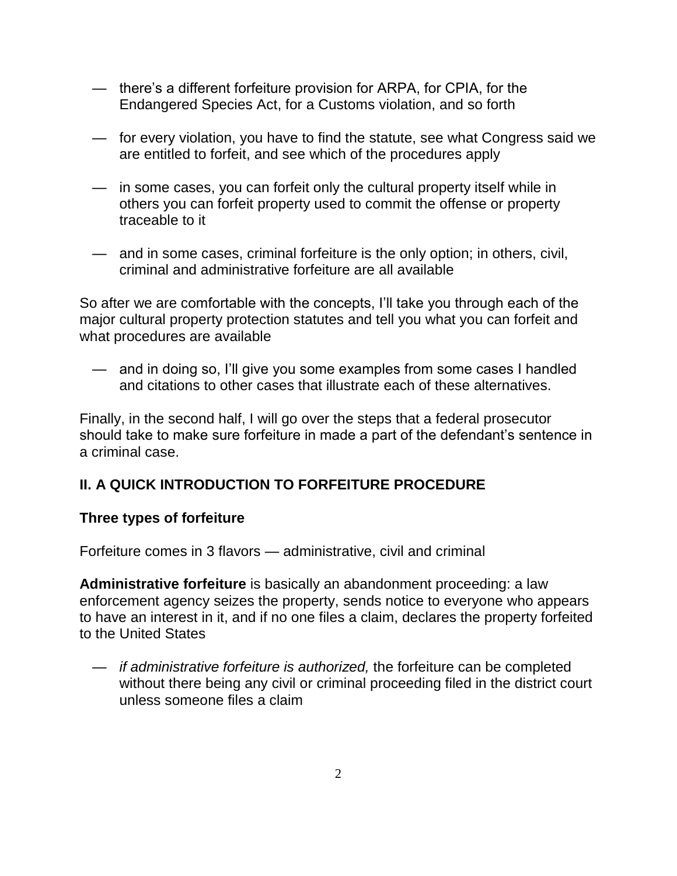- there's a different forfeiture provision for ARPA, for CPIA, for the Endangered Species Act, for a Customs violation, and so forth
- for every violation, you have to find the statute, see what Congress said we are entitled to forfeit, and see which of the procedures apply
- in some cases, you can forfeit only the cultural property itself while in others you can forfeit property used to commit the offense or property traceable to it
- and in some cases, criminal forfeiture is the only option; in others, civil, criminal and administrative forfeiture are all available

So after we are comfortable with the concepts, I'll take you through each of the major cultural property protection statutes and tell you what you can forfeit and what procedures are available

 — and in doing so, I'll give you some examples from some cases I handled and citations to other cases that illustrate each of these alternatives.

Finally, in the second half, I will go over the steps that a federal prosecutor should take to make sure forfeiture in made a part of the defendant's sentence in a criminal case.

# **II. A QUICK INTRODUCTION TO FORFEITURE PROCEDURE**

# **Three types of forfeiture**

Forfeiture comes in 3 flavors — administrative, civil and criminal

**Administrative forfeiture** is basically an abandonment proceeding: a law enforcement agency seizes the property, sends notice to everyone who appears to have an interest in it, and if no one files a claim, declares the property forfeited to the United States

 — if administrative forfeiture is authorized, the forfeiture can be completed without there being any civil or criminal proceeding filed in the district court unless someone files a claim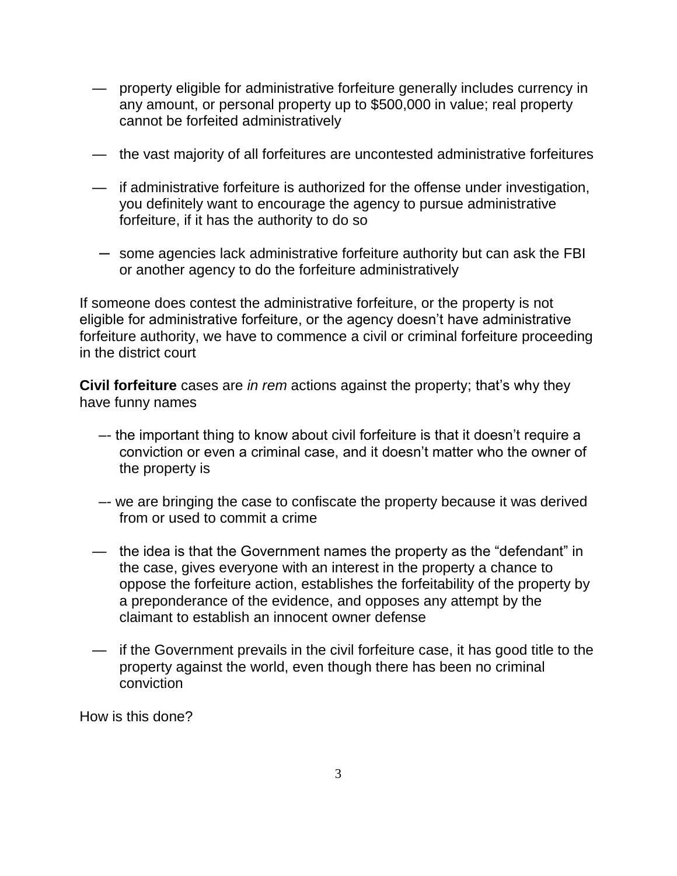- property eligible for administrative forfeiture generally includes currency in any amount, or personal property up to \$500,000 in value; real property cannot be forfeited administratively
- the vast majority of all forfeitures are uncontested administrative forfeitures
- if administrative forfeiture is authorized for the offense under investigation, you definitely want to encourage the agency to pursue administrative forfeiture, if it has the authority to do so
- ─ some agencies lack administrative forfeiture authority but can ask the FBI or another agency to do the forfeiture administratively

If someone does contest the administrative forfeiture, or the property is not eligible for administrative forfeiture, or the agency doesn't have administrative forfeiture authority, we have to commence a civil or criminal forfeiture proceeding in the district court

**Civil forfeiture** cases are in rem actions against the property; that's why they have funny names

- –- the important thing to know about civil forfeiture is that it doesn't require a conviction or even a criminal case, and it doesn't matter who the owner of the property is
- –- we are bringing the case to confiscate the property because it was derived from or used to commit a crime
- the idea is that the Government names the property as the "defendant" in the case, gives everyone with an interest in the property a chance to oppose the forfeiture action, establishes the forfeitability of the property by a preponderance of the evidence, and opposes any attempt by the claimant to establish an innocent owner defense
- if the Government prevails in the civil forfeiture case, it has good title to the property against the world, even though there has been no criminal conviction

How is this done?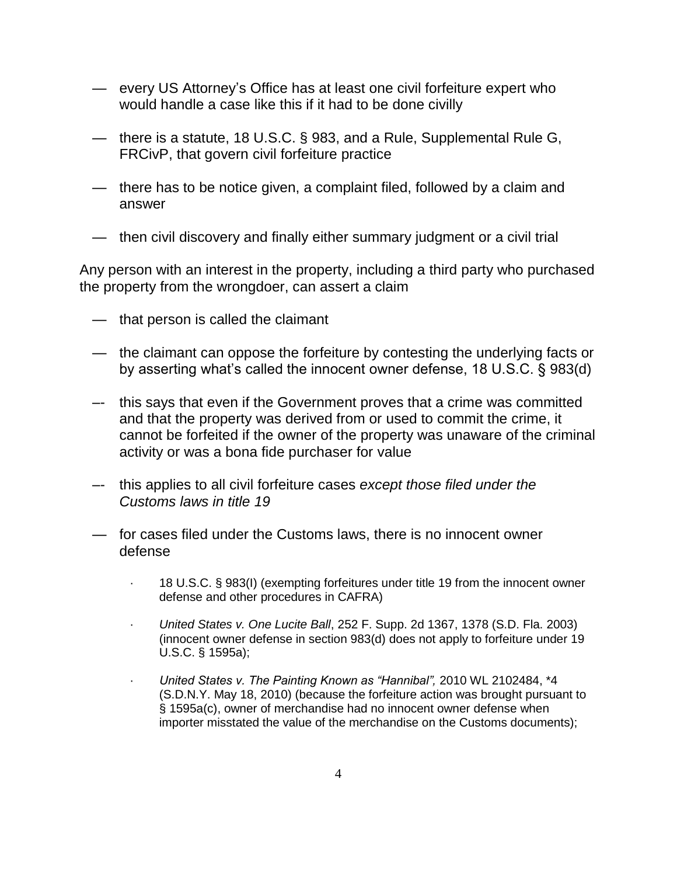- every US Attorney's Office has at least one civil forfeiture expert who would handle a case like this if it had to be done civilly
- there is a statute, 18 U.S.C. § 983, and a Rule, Supplemental Rule G, FRCivP, that govern civil forfeiture practice
- there has to be notice given, a complaint filed, followed by a claim and answer
- then civil discovery and finally either summary judgment or a civil trial

Any person with an interest in the property, including a third party who purchased the property from the wrongdoer, can assert a claim

- that person is called the claimant
- the claimant can oppose the forfeiture by contesting the underlying facts or by asserting what's called the innocent owner defense, 18 U.S.C. § 983(d)
- –- this says that even if the Government proves that a crime was committed and that the property was derived from or used to commit the crime, it cannot be forfeited if the owner of the property was unaware of the criminal activity or was a bona fide purchaser for value
- –- this applies to all civil forfeiture cases except those filed under the Customs laws in title 19
- *—* for cases filed under the Customs laws, there is no innocent owner defense
	- · 18 U.S.C. § 983(I) (exempting forfeitures under title 19 from the innocent owner defense and other procedures in CAFRA)
	- · United States v. One Lucite Ball, 252 F. Supp. 2d 1367, 1378 (S.D. Fla. 2003) (innocent owner defense in section 983(d) does not apply to forfeiture under 19 U.S.C. § 1595a);
	- · *United States v. The Painting Known as "Hannibal",* 2010 WL 2102484, \*4 (S.D.N.Y. May 18, 2010) (because the forfeiture action was brought pursuant to § 1595a(c), owner of merchandise had no innocent owner defense when importer misstated the value of the merchandise on the Customs documents);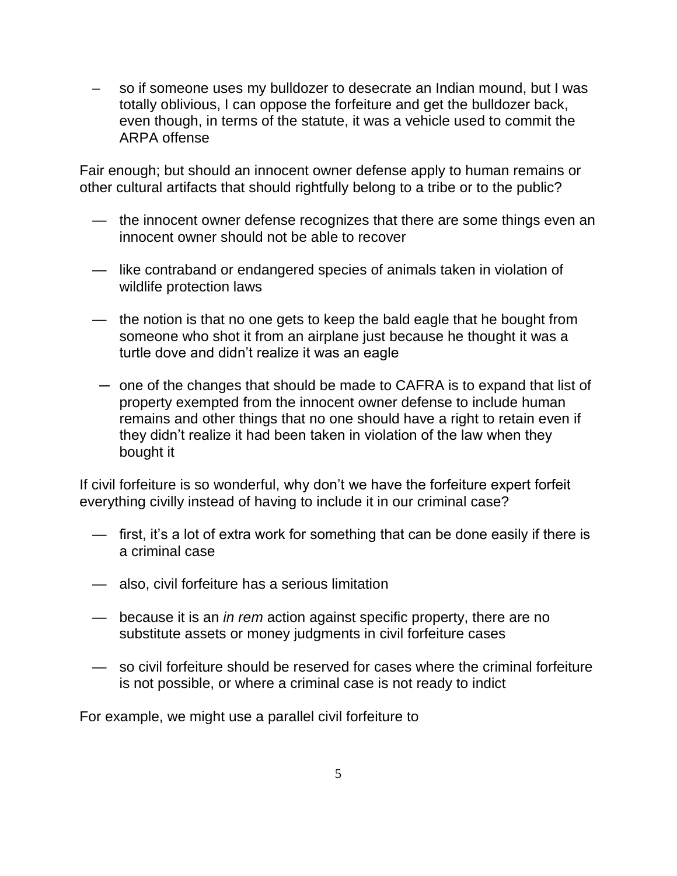– so if someone uses my bulldozer to desecrate an Indian mound, but I was totally oblivious, I can oppose the forfeiture and get the bulldozer back, even though, in terms of the statute, it was a vehicle used to commit the ARPA offense

Fair enough; but should an innocent owner defense apply to human remains or other cultural artifacts that should rightfully belong to a tribe or to the public?

- the innocent owner defense recognizes that there are some things even an innocent owner should not be able to recover
- like contraband or endangered species of animals taken in violation of wildlife protection laws
- the notion is that no one gets to keep the bald eagle that he bought from someone who shot it from an airplane just because he thought it was a turtle dove and didn't realize it was an eagle
- ─ one of the changes that should be made to CAFRA is to expand that list of property exempted from the innocent owner defense to include human remains and other things that no one should have a right to retain even if they didn't realize it had been taken in violation of the law when they bought it

If civil forfeiture is so wonderful, why don't we have the forfeiture expert forfeit everything civilly instead of having to include it in our criminal case?

- first, it's a lot of extra work for something that can be done easily if there is a criminal case
- also, civil forfeiture has a serious limitation
- because it is an *in rem* action against specific property, there are no substitute assets or money judgments in civil forfeiture cases
- so civil forfeiture should be reserved for cases where the criminal forfeiture is not possible, or where a criminal case is not ready to indict

For example, we might use a parallel civil forfeiture to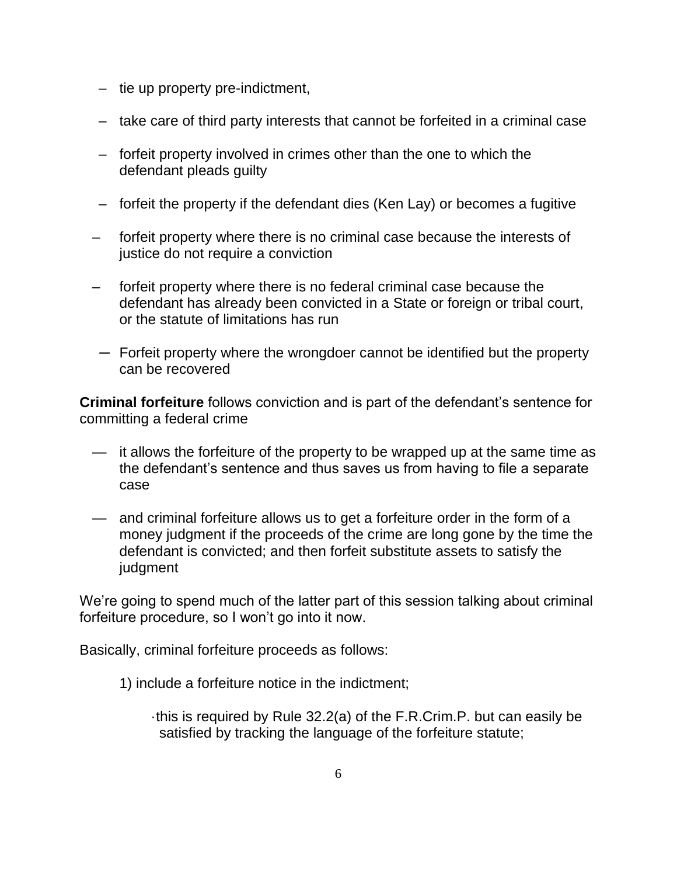- tie up property pre-indictment,
- take care of third party interests that cannot be forfeited in a criminal case
- forfeit property involved in crimes other than the one to which the defendant pleads guilty
- forfeit the property if the defendant dies (Ken Lay) or becomes a fugitive
- forfeit property where there is no criminal case because the interests of justice do not require a conviction
- forfeit property where there is no federal criminal case because the defendant has already been convicted in a State or foreign or tribal court, or the statute of limitations has run
- ─ Forfeit property where the wrongdoer cannot be identified but the property can be recovered

**Criminal forfeiture** follows conviction and is part of the defendant's sentence for committing a federal crime

- it allows the forfeiture of the property to be wrapped up at the same time as the defendant's sentence and thus saves us from having to file a separate case
- and criminal forfeiture allows us to get a forfeiture order in the form of a money judgment if the proceeds of the crime are long gone by the time the defendant is convicted; and then forfeit substitute assets to satisfy the judgment

We're going to spend much of the latter part of this session talking about criminal forfeiture procedure, so I won't go into it now.

Basically, criminal forfeiture proceeds as follows:

1) include a forfeiture notice in the indictment;

 ·this is required by Rule 32.2(a) of the F.R.Crim.P. but can easily be satisfied by tracking the language of the forfeiture statute;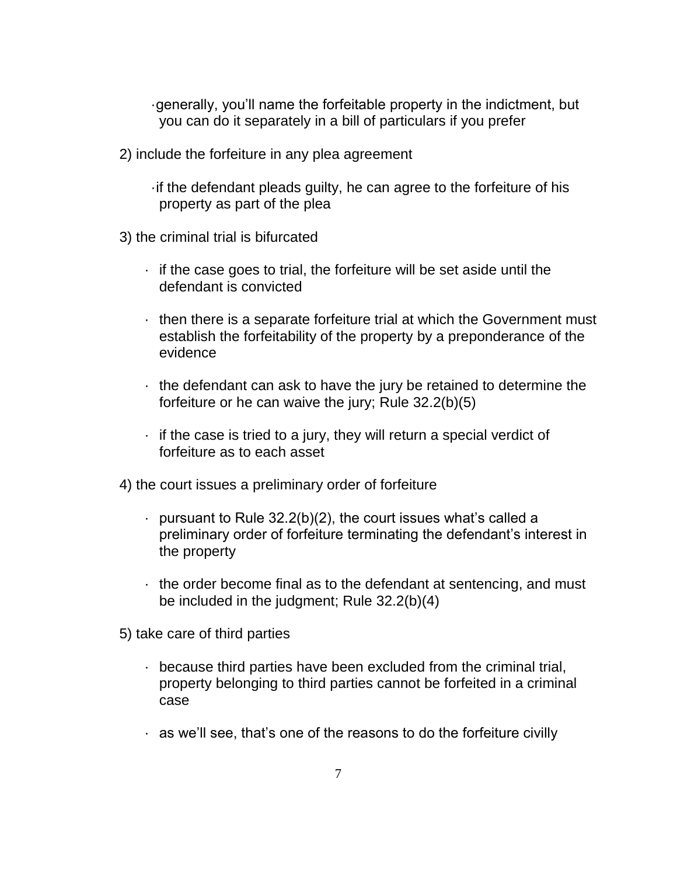·generally, you'll name the forfeitable property in the indictment, but you can do it separately in a bill of particulars if you prefer

2) include the forfeiture in any plea agreement

 ·if the defendant pleads guilty, he can agree to the forfeiture of his property as part of the plea

- 3) the criminal trial is bifurcated
	- · if the case goes to trial, the forfeiture will be set aside until the defendant is convicted
	- · then there is a separate forfeiture trial at which the Government must establish the forfeitability of the property by a preponderance of the evidence
	- · the defendant can ask to have the jury be retained to determine the forfeiture or he can waive the jury; Rule 32.2(b)(5)
	- $\cdot$  if the case is tried to a jury, they will return a special verdict of forfeiture as to each asset

4) the court issues a preliminary order of forfeiture

- $\cdot$  pursuant to Rule 32.2(b)(2), the court issues what's called a preliminary order of forfeiture terminating the defendant's interest in the property
- $\cdot$  the order become final as to the defendant at sentencing, and must be included in the judgment; Rule 32.2(b)(4)
- 5) take care of third parties
	- · because third parties have been excluded from the criminal trial, property belonging to third parties cannot be forfeited in a criminal case
	- · as we'll see, that's one of the reasons to do the forfeiture civilly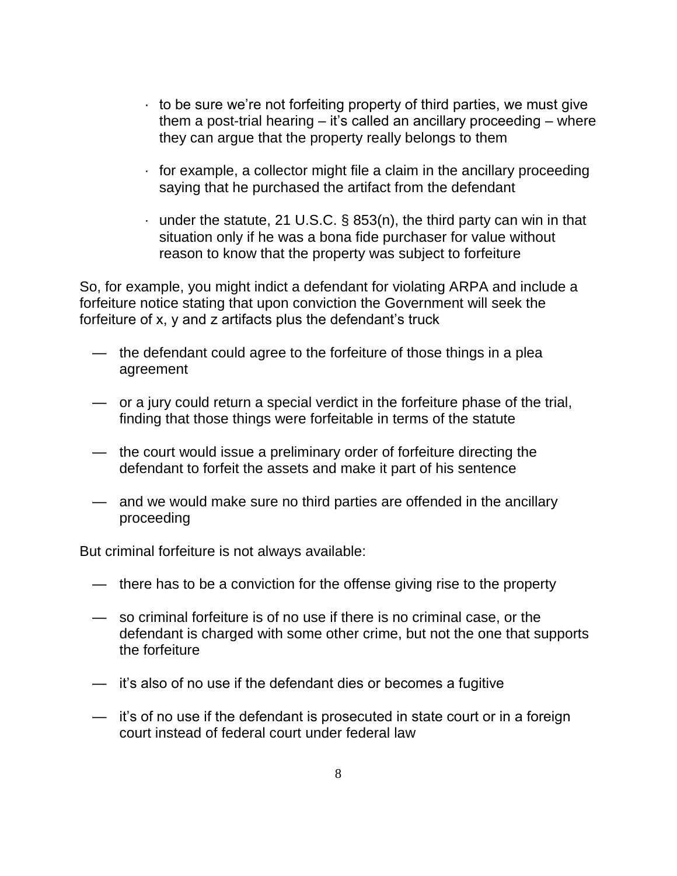- $\cdot$  to be sure we're not forfeiting property of third parties, we must give them a post-trial hearing – it's called an ancillary proceeding – where they can argue that the property really belongs to them
- $\cdot$  for example, a collector might file a claim in the ancillary proceeding saying that he purchased the artifact from the defendant
- $\cdot$  under the statute, 21 U.S.C. § 853(n), the third party can win in that situation only if he was a bona fide purchaser for value without reason to know that the property was subject to forfeiture

So, for example, you might indict a defendant for violating ARPA and include a forfeiture notice stating that upon conviction the Government will seek the forfeiture of x, y and z artifacts plus the defendant's truck

- the defendant could agree to the forfeiture of those things in a plea agreement
- or a jury could return a special verdict in the forfeiture phase of the trial, finding that those things were forfeitable in terms of the statute
- the court would issue a preliminary order of forfeiture directing the defendant to forfeit the assets and make it part of his sentence
- and we would make sure no third parties are offended in the ancillary proceeding

But criminal forfeiture is not always available:

- there has to be a conviction for the offense giving rise to the property
- so criminal forfeiture is of no use if there is no criminal case, or the defendant is charged with some other crime, but not the one that supports the forfeiture
- it's also of no use if the defendant dies or becomes a fugitive
- it's of no use if the defendant is prosecuted in state court or in a foreign court instead of federal court under federal law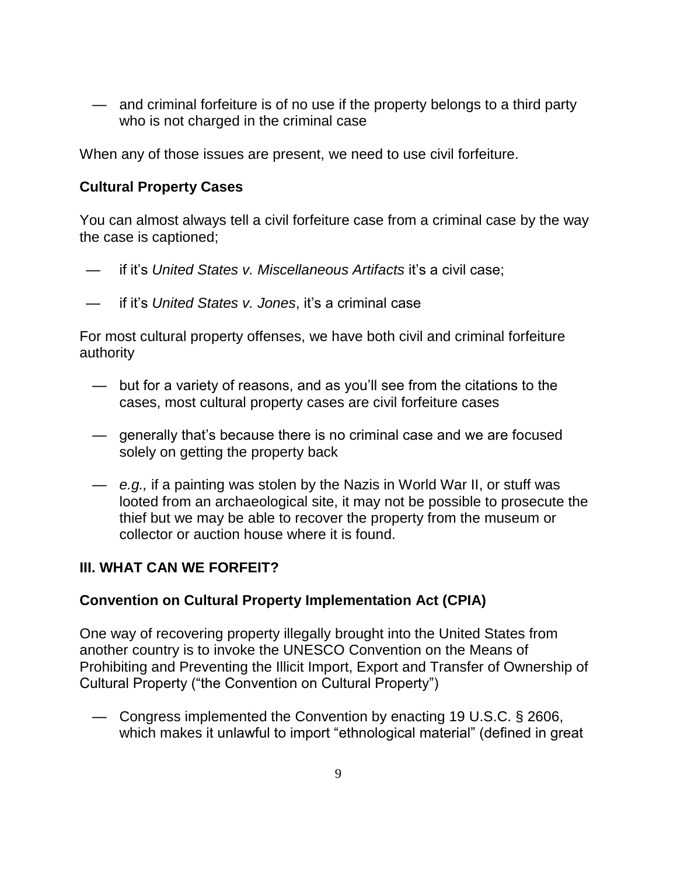— and criminal forfeiture is of no use if the property belongs to a third party who is not charged in the criminal case

When any of those issues are present, we need to use civil forfeiture.

## **Cultural Property Cases**

You can almost always tell a civil forfeiture case from a criminal case by the way the case is captioned;

- if it's United States v. Miscellaneous Artifacts it's a civil case;
- if it's United States v. Jones, it's a criminal case

For most cultural property offenses, we have both civil and criminal forfeiture authority

- but for a variety of reasons, and as you'll see from the citations to the cases, most cultural property cases are civil forfeiture cases
- generally that's because there is no criminal case and we are focused solely on getting the property back
- e.g., if a painting was stolen by the Nazis in World War II, or stuff was looted from an archaeological site, it may not be possible to prosecute the thief but we may be able to recover the property from the museum or collector or auction house where it is found.

# **III. WHAT CAN WE FORFEIT?**

## **Convention on Cultural Property Implementation Act (CPIA)**

One way of recovering property illegally brought into the United States from another country is to invoke the UNESCO Convention on the Means of Prohibiting and Preventing the Illicit Import, Export and Transfer of Ownership of Cultural Property ("the Convention on Cultural Property")

 — Congress implemented the Convention by enacting 19 U.S.C. § 2606, which makes it unlawful to import "ethnological material" (defined in great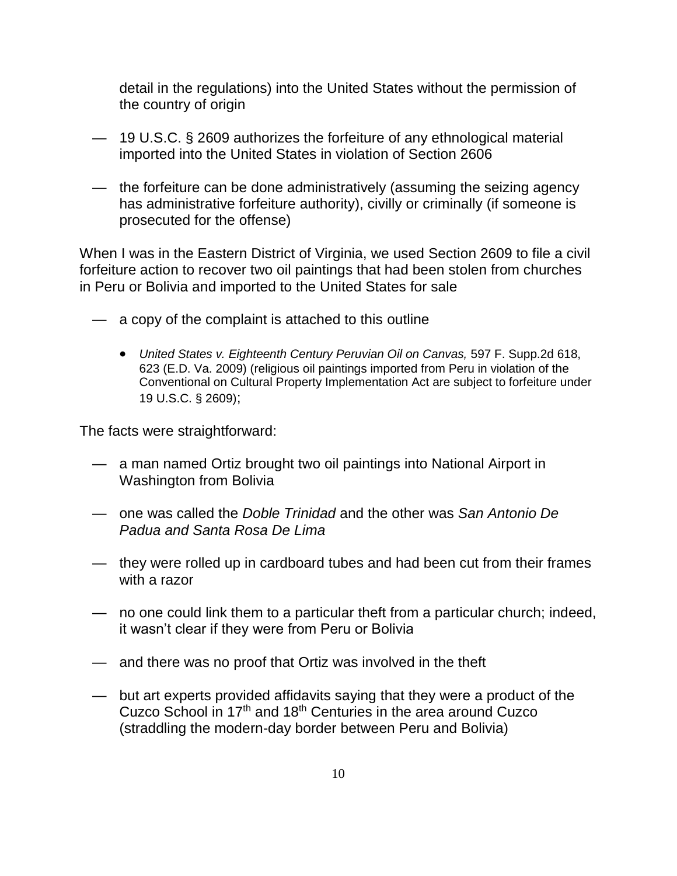detail in the regulations) into the United States without the permission of the country of origin

- 19 U.S.C. § 2609 authorizes the forfeiture of any ethnological material imported into the United States in violation of Section 2606
- the forfeiture can be done administratively (assuming the seizing agency has administrative forfeiture authority), civilly or criminally (if someone is prosecuted for the offense)

When I was in the Eastern District of Virginia, we used Section 2609 to file a civil forfeiture action to recover two oil paintings that had been stolen from churches in Peru or Bolivia and imported to the United States for sale

- a copy of the complaint is attached to this outline
	- United States v. Eighteenth Century Peruvian Oil on Canvas, 597 F. Supp.2d 618, 623 (E.D. Va. 2009) (religious oil paintings imported from Peru in violation of the Conventional on Cultural Property Implementation Act are subject to forfeiture under 19 U.S.C. § 2609);

The facts were straightforward:

- a man named Ortiz brought two oil paintings into National Airport in Washington from Bolivia
- one was called the Doble Trinidad and the other was San Antonio De Padua and Santa Rosa De Lima
- they were rolled up in cardboard tubes and had been cut from their frames with a razor
- no one could link them to a particular theft from a particular church; indeed, it wasn't clear if they were from Peru or Bolivia
- and there was no proof that Ortiz was involved in the theft
- but art experts provided affidavits saying that they were a product of the Cuzco School in 17<sup>th</sup> and 18<sup>th</sup> Centuries in the area around Cuzco (straddling the modern-day border between Peru and Bolivia)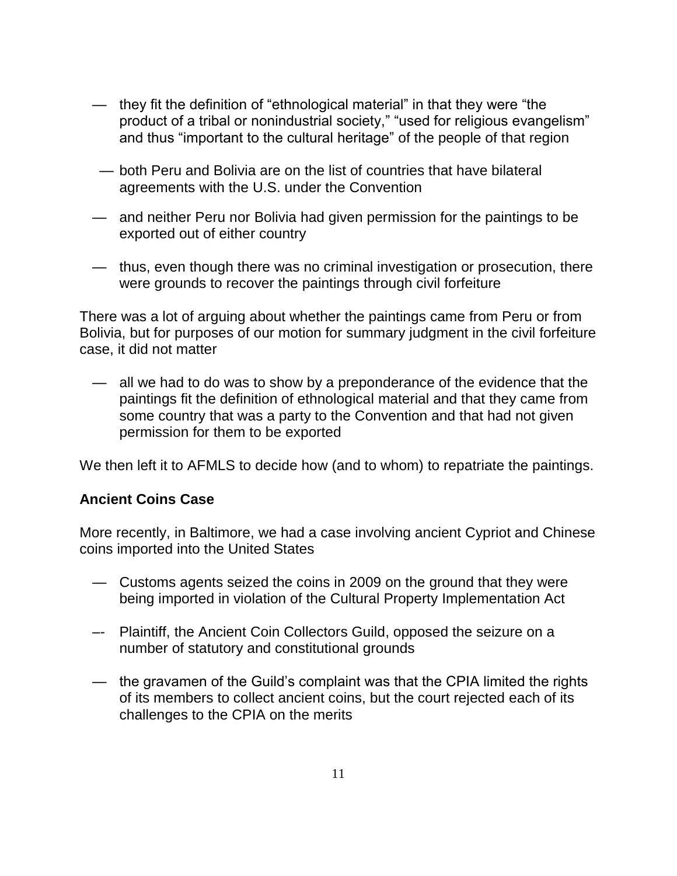- they fit the definition of "ethnological material" in that they were "the product of a tribal or nonindustrial society," "used for religious evangelism" and thus "important to the cultural heritage" of the people of that region
- both Peru and Bolivia are on the list of countries that have bilateral agreements with the U.S. under the Convention
- and neither Peru nor Bolivia had given permission for the paintings to be exported out of either country
- thus, even though there was no criminal investigation or prosecution, there were grounds to recover the paintings through civil forfeiture

There was a lot of arguing about whether the paintings came from Peru or from Bolivia, but for purposes of our motion for summary judgment in the civil forfeiture case, it did not matter

all we had to do was to show by a preponderance of the evidence that the paintings fit the definition of ethnological material and that they came from some country that was a party to the Convention and that had not given permission for them to be exported

We then left it to AFMLS to decide how (and to whom) to repatriate the paintings.

## **Ancient Coins Case**

More recently, in Baltimore, we had a case involving ancient Cypriot and Chinese coins imported into the United States

- Customs agents seized the coins in 2009 on the ground that they were being imported in violation of the Cultural Property Implementation Act
- –- Plaintiff, the Ancient Coin Collectors Guild, opposed the seizure on a number of statutory and constitutional grounds
- the gravamen of the Guild's complaint was that the CPIA limited the rights of its members to collect ancient coins, but the court rejected each of its challenges to the CPIA on the merits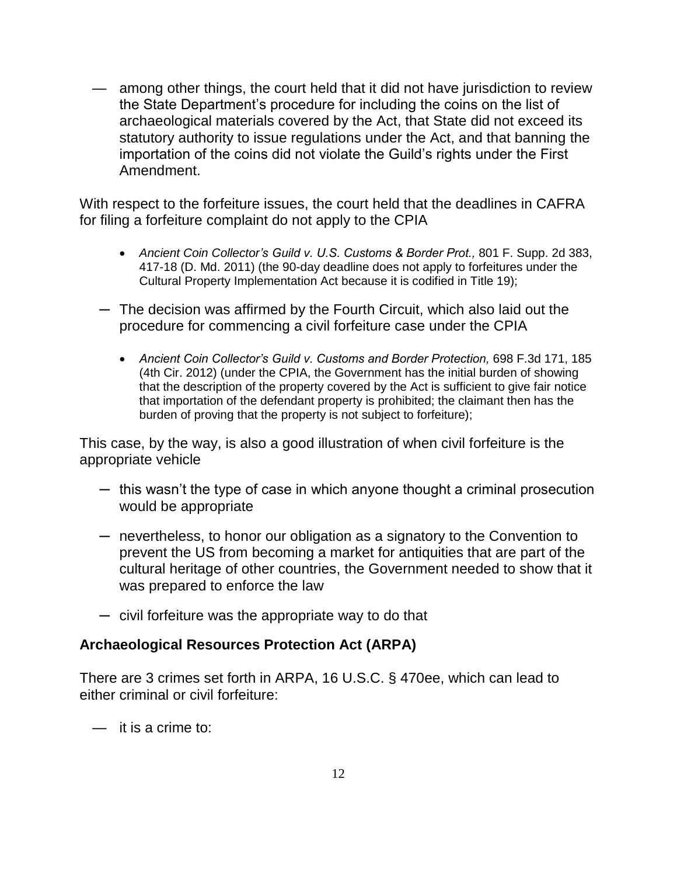among other things, the court held that it did not have jurisdiction to review the State Department's procedure for including the coins on the list of archaeological materials covered by the Act, that State did not exceed its statutory authority to issue regulations under the Act, and that banning the importation of the coins did not violate the Guild's rights under the First Amendment.

With respect to the forfeiture issues, the court held that the deadlines in CAFRA for filing a forfeiture complaint do not apply to the CPIA

- Ancient Coin Collector*'s Guild v. U.S. Customs & Border Prot.,* 801 F. Supp. 2d 383, 417-18 (D. Md. 2011) (the 90-day deadline does not apply to forfeitures under the Cultural Property Implementation Act because it is codified in Title 19);
- ─ The decision was affirmed by the Fourth Circuit, which also laid out the procedure for commencing a civil forfeiture case under the CPIA
	- *Ancient Coin Collector's Guild v. Customs and Border Protection,* 698 F.3d 171, 185 (4th Cir. 2012) (under the CPIA, the Government has the initial burden of showing that the description of the property covered by the Act is sufficient to give fair notice that importation of the defendant property is prohibited; the claimant then has the burden of proving that the property is not subject to forfeiture);

This case, by the way, is also a good illustration of when civil forfeiture is the appropriate vehicle

- $-$  this wasn't the type of case in which anyone thought a criminal prosecution would be appropriate
- ─ nevertheless, to honor our obligation as a signatory to the Convention to prevent the US from becoming a market for antiquities that are part of the cultural heritage of other countries, the Government needed to show that it was prepared to enforce the law
- ─ civil forfeiture was the appropriate way to do that

## **Archaeological Resources Protection Act (ARPA)**

There are 3 crimes set forth in ARPA, 16 U.S.C. § 470ee, which can lead to either criminal or civil forfeiture:

 $-$  it is a crime to: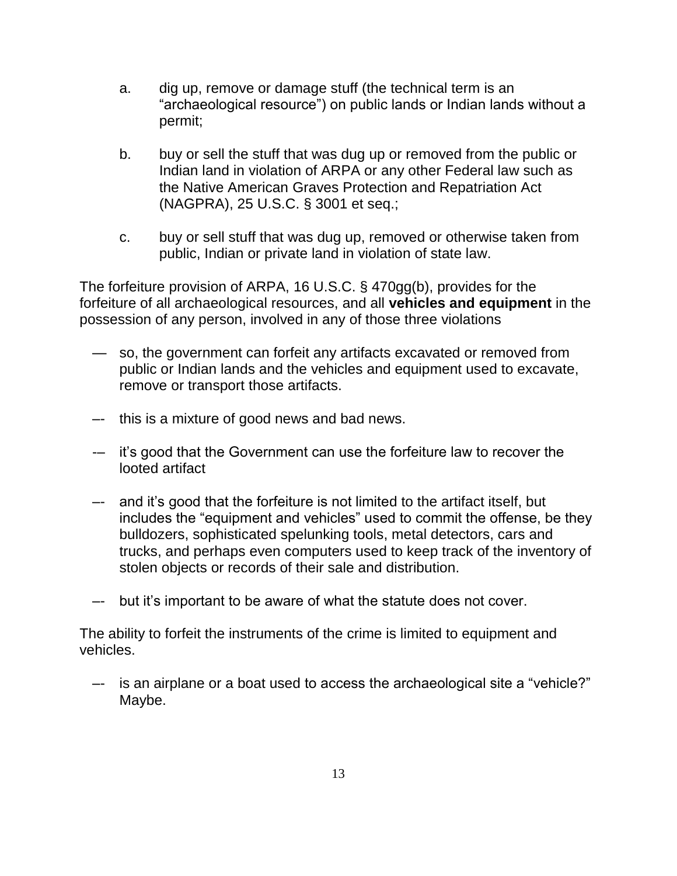- a. dig up, remove or damage stuff (the technical term is an "archaeological resource") on public lands or Indian lands without a permit;
- b. buy or sell the stuff that was dug up or removed from the public or Indian land in violation of ARPA or any other Federal law such as the Native American Graves Protection and Repatriation Act (NAGPRA), 25 U.S.C. § 3001 et seq.;
- c. buy or sell stuff that was dug up, removed or otherwise taken from public, Indian or private land in violation of state law.

The forfeiture provision of ARPA, 16 U.S.C. § 470gg(b), provides for the forfeiture of all archaeological resources, and all **vehicles and equipment** in the possession of any person, involved in any of those three violations

- so, the government can forfeit any artifacts excavated or removed from public or Indian lands and the vehicles and equipment used to excavate, remove or transport those artifacts.
- –- this is a mixture of good news and bad news.
- -– it's good that the Government can use the forfeiture law to recover the looted artifact
- –- and it's good that the forfeiture is not limited to the artifact itself, but includes the "equipment and vehicles" used to commit the offense, be they bulldozers, sophisticated spelunking tools, metal detectors, cars and trucks, and perhaps even computers used to keep track of the inventory of stolen objects or records of their sale and distribution.
- –- but it's important to be aware of what the statute does not cover.

The ability to forfeit the instruments of the crime is limited to equipment and vehicles.

 –- is an airplane or a boat used to access the archaeological site a "vehicle?" Maybe.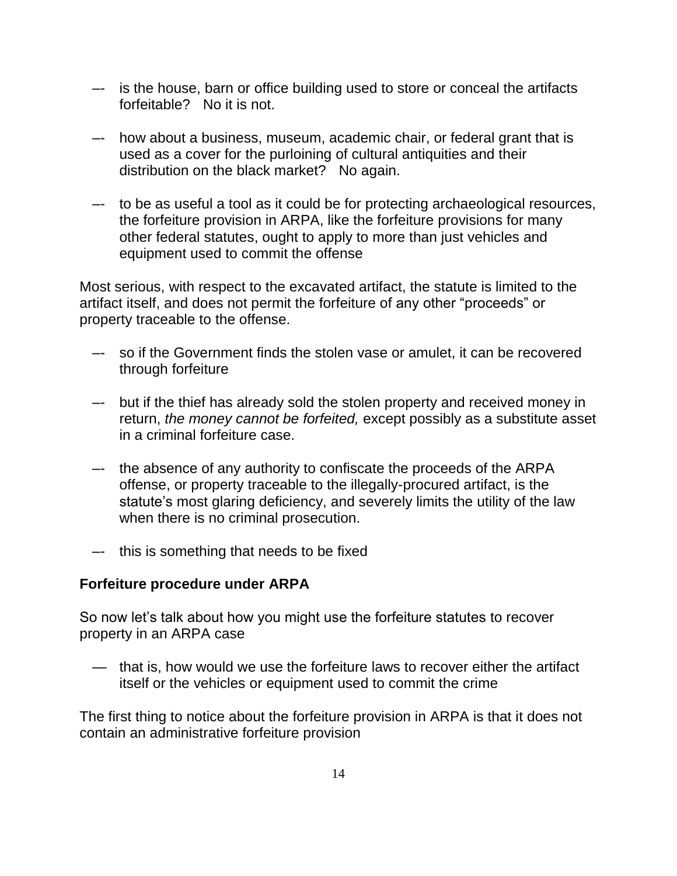- –- is the house, barn or office building used to store or conceal the artifacts forfeitable? No it is not.
- –- how about a business, museum, academic chair, or federal grant that is used as a cover for the purloining of cultural antiquities and their distribution on the black market? No again.
- –- to be as useful a tool as it could be for protecting archaeological resources, the forfeiture provision in ARPA, like the forfeiture provisions for many other federal statutes, ought to apply to more than just vehicles and equipment used to commit the offense

Most serious, with respect to the excavated artifact, the statute is limited to the artifact itself, and does not permit the forfeiture of any other "proceeds" or property traceable to the offense.

- –- so if the Government finds the stolen vase or amulet, it can be recovered through forfeiture
- –- but if the thief has already sold the stolen property and received money in return, the money cannot be forfeited, except possibly as a substitute asset in a criminal forfeiture case.
- –- the absence of any authority to confiscate the proceeds of the ARPA offense, or property traceable to the illegally-procured artifact, is the statute's most glaring deficiency, and severely limits the utility of the law when there is no criminal prosecution.
- –- this is something that needs to be fixed

## **Forfeiture procedure under ARPA**

So now let's talk about how you might use the forfeiture statutes to recover property in an ARPA case

 — that is, how would we use the forfeiture laws to recover either the artifact itself or the vehicles or equipment used to commit the crime

The first thing to notice about the forfeiture provision in ARPA is that it does not contain an administrative forfeiture provision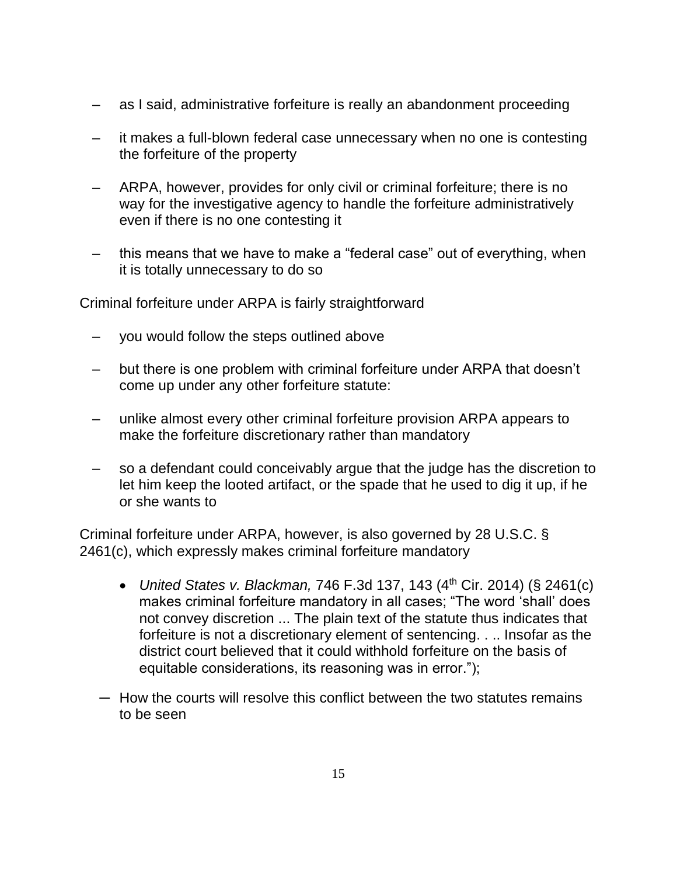- as I said, administrative forfeiture is really an abandonment proceeding
- it makes a full-blown federal case unnecessary when no one is contesting the forfeiture of the property
- ARPA, however, provides for only civil or criminal forfeiture; there is no way for the investigative agency to handle the forfeiture administratively even if there is no one contesting it
- this means that we have to make a "federal case" out of everything, when it is totally unnecessary to do so

Criminal forfeiture under ARPA is fairly straightforward

- you would follow the steps outlined above
- but there is one problem with criminal forfeiture under ARPA that doesn't come up under any other forfeiture statute:
- unlike almost every other criminal forfeiture provision ARPA appears to make the forfeiture discretionary rather than mandatory
- so a defendant could conceivably argue that the judge has the discretion to let him keep the looted artifact, or the spade that he used to dig it up, if he or she wants to

Criminal forfeiture under ARPA, however, is also governed by 28 U.S.C. § 2461(c), which expressly makes criminal forfeiture mandatory

- United States v. Blackman, 746 F.3d 137, 143  $(4<sup>th</sup>$  Cir. 2014) (§ 2461(c) makes criminal forfeiture mandatory in all cases; "The word 'shall' does not convey discretion ... The plain text of the statute thus indicates that forfeiture is not a discretionary element of sentencing. . .. Insofar as the district court believed that it could withhold forfeiture on the basis of equitable considerations, its reasoning was in error.");
- ─ How the courts will resolve this conflict between the two statutes remains to be seen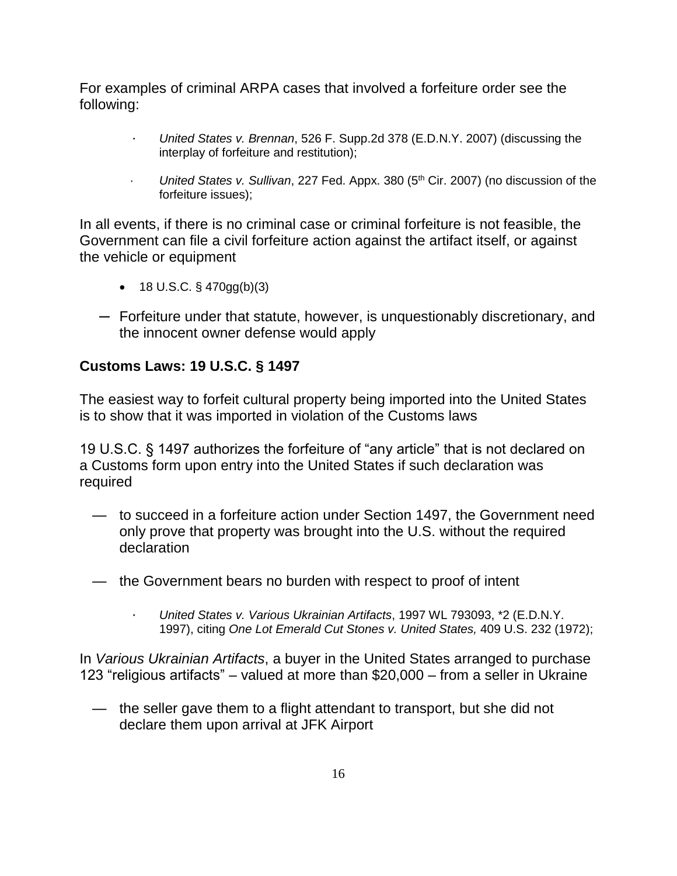For examples of criminal ARPA cases that involved a forfeiture order see the following:

- United States v. Brennan, 526 F. Supp.2d 378 (E.D.N.Y. 2007) (discussing the interplay of forfeiture and restitution);
- $\cdot$  United States v. Sullivan, 227 Fed. Appx. 380 (5<sup>th</sup> Cir. 2007) (no discussion of the forfeiture issues);

In all events, if there is no criminal case or criminal forfeiture is not feasible, the Government can file a civil forfeiture action against the artifact itself, or against the vehicle or equipment

- 18 U.S.C.  $\S$  470gg(b)(3)
- ─ Forfeiture under that statute, however, is unquestionably discretionary, and the innocent owner defense would apply

# **Customs Laws: 19 U.S.C. § 1497**

The easiest way to forfeit cultural property being imported into the United States is to show that it was imported in violation of the Customs laws

19 U.S.C. § 1497 authorizes the forfeiture of "any article" that is not declared on a Customs form upon entry into the United States if such declaration was required

- to succeed in a forfeiture action under Section 1497, the Government need only prove that property was brought into the U.S. without the required declaration
- the Government bears no burden with respect to proof of intent
	- · United States v. Various Ukrainian Artifacts, 1997 WL 793093, \*2 (E.D.N.Y. 1997), citing One Lot Emerald Cut Stones v. United States, 409 U.S. 232 (1972);

In Various Ukrainian Artifacts, a buyer in the United States arranged to purchase 123 "religious artifacts" – valued at more than \$20,000 – from a seller in Ukraine

 — the seller gave them to a flight attendant to transport, but she did not declare them upon arrival at JFK Airport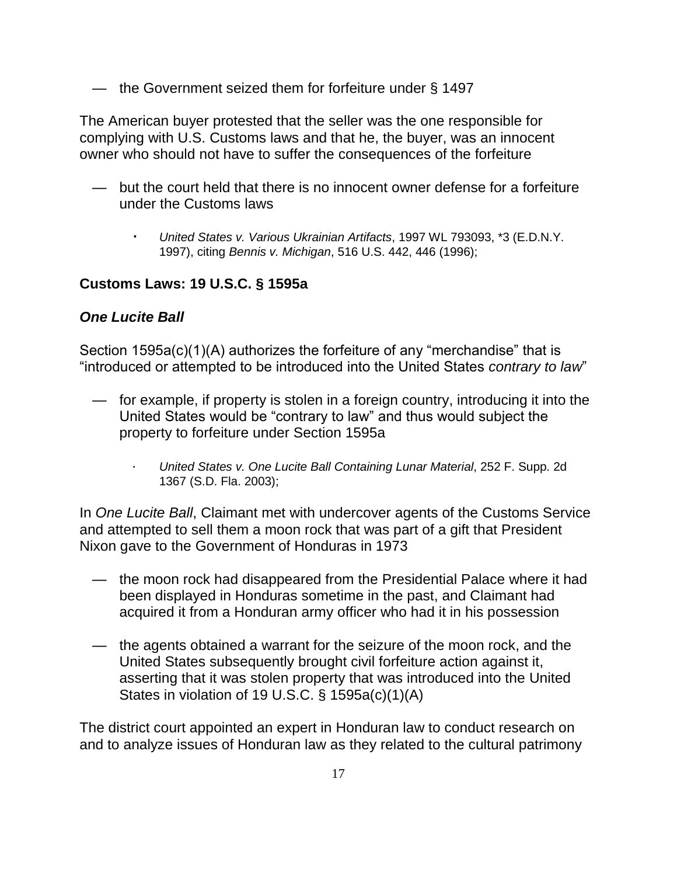— the Government seized them for forfeiture under § 1497

The American buyer protested that the seller was the one responsible for complying with U.S. Customs laws and that he, the buyer, was an innocent owner who should not have to suffer the consequences of the forfeiture

- but the court held that there is no innocent owner defense for a forfeiture under the Customs laws
	- United States v. Various Ukrainian Artifacts, 1997 WL 793093, \*3 (E.D.N.Y. 1997), citing Bennis v. Michigan, 516 U.S. 442, 446 (1996);

# **Customs Laws: 19 U.S.C. § 1595a**

## **One Lucite Ball**

Section 1595a(c)(1)(A) authorizes the forfeiture of any "merchandise" that is "introduced or attempted to be introduced into the United States contrary to law"

- for example, if property is stolen in a foreign country, introducing it into the United States would be "contrary to law" and thus would subject the property to forfeiture under Section 1595a
	- United States v. One Lucite Ball Containing Lunar Material, 252 F. Supp. 2d 1367 (S.D. Fla. 2003);

In One Lucite Ball, Claimant met with undercover agents of the Customs Service and attempted to sell them a moon rock that was part of a gift that President Nixon gave to the Government of Honduras in 1973

- the moon rock had disappeared from the Presidential Palace where it had been displayed in Honduras sometime in the past, and Claimant had acquired it from a Honduran army officer who had it in his possession
- the agents obtained a warrant for the seizure of the moon rock, and the United States subsequently brought civil forfeiture action against it, asserting that it was stolen property that was introduced into the United States in violation of 19 U.S.C. § 1595a(c)(1)(A)

The district court appointed an expert in Honduran law to conduct research on and to analyze issues of Honduran law as they related to the cultural patrimony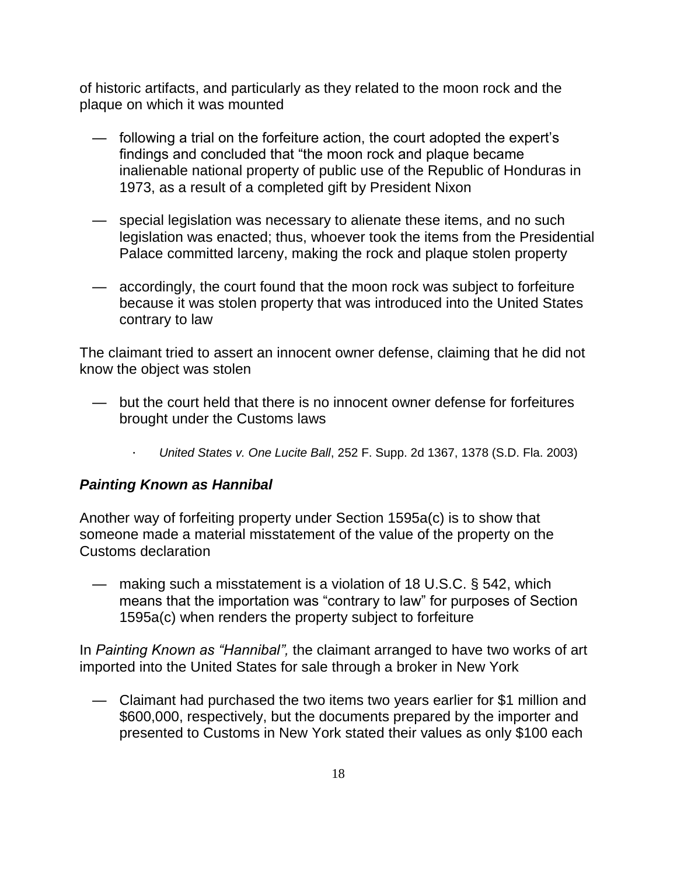of historic artifacts, and particularly as they related to the moon rock and the plaque on which it was mounted

- following a trial on the forfeiture action, the court adopted the expert's findings and concluded that "the moon rock and plaque became inalienable national property of public use of the Republic of Honduras in 1973, as a result of a completed gift by President Nixon
- special legislation was necessary to alienate these items, and no such legislation was enacted; thus, whoever took the items from the Presidential Palace committed larceny, making the rock and plaque stolen property
- accordingly, the court found that the moon rock was subject to forfeiture because it was stolen property that was introduced into the United States contrary to law

The claimant tried to assert an innocent owner defense, claiming that he did not know the object was stolen

- but the court held that there is no innocent owner defense for forfeitures brought under the Customs laws
	- · United States v. One Lucite Ball, 252 F. Supp. 2d 1367, 1378 (S.D. Fla. 2003)

## **Painting Known as Hannibal**

Another way of forfeiting property under Section 1595a(c) is to show that someone made a material misstatement of the value of the property on the Customs declaration

 — making such a misstatement is a violation of 18 U.S.C. § 542, which means that the importation was "contrary to law" for purposes of Section 1595a(c) when renders the property subject to forfeiture

In *Painting Known as "Hannibal",* the claimant arranged to have two works of art imported into the United States for sale through a broker in New York

 — Claimant had purchased the two items two years earlier for \$1 million and \$600,000, respectively, but the documents prepared by the importer and presented to Customs in New York stated their values as only \$100 each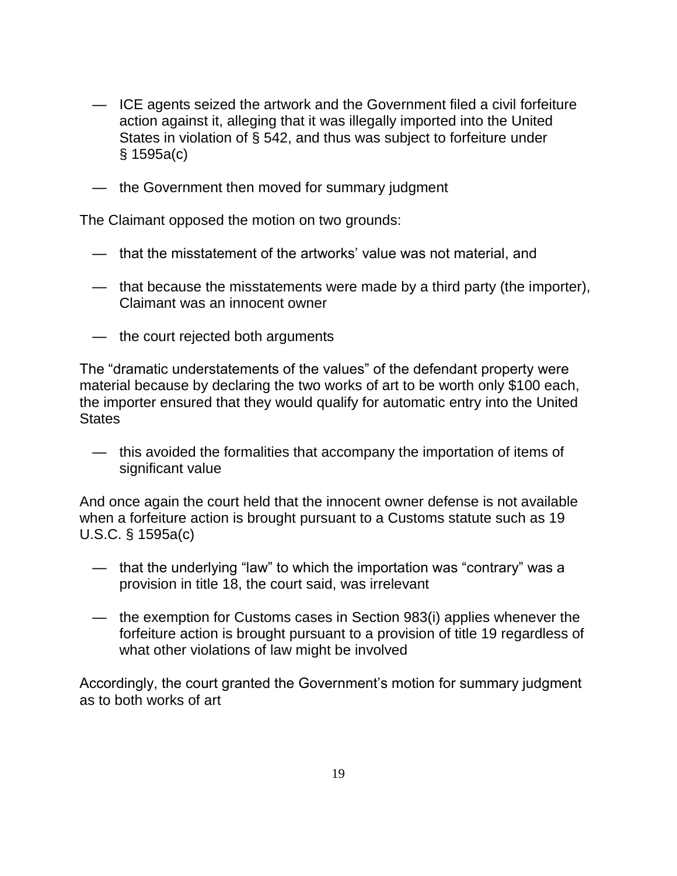- ICE agents seized the artwork and the Government filed a civil forfeiture action against it, alleging that it was illegally imported into the United States in violation of § 542, and thus was subject to forfeiture under § 1595a(c)
- the Government then moved for summary judgment

The Claimant opposed the motion on two grounds:

- that the misstatement of the artworks' value was not material, and
- that because the misstatements were made by a third party (the importer), Claimant was an innocent owner
- the court rejected both arguments

The "dramatic understatements of the values" of the defendant property were material because by declaring the two works of art to be worth only \$100 each, the importer ensured that they would qualify for automatic entry into the United **States** 

 — this avoided the formalities that accompany the importation of items of significant value

And once again the court held that the innocent owner defense is not available when a forfeiture action is brought pursuant to a Customs statute such as 19 U.S.C. § 1595a(c)

- that the underlying "law" to which the importation was "contrary" was a provision in title 18, the court said, was irrelevant
- the exemption for Customs cases in Section 983(i) applies whenever the forfeiture action is brought pursuant to a provision of title 19 regardless of what other violations of law might be involved

Accordingly, the court granted the Government's motion for summary judgment as to both works of art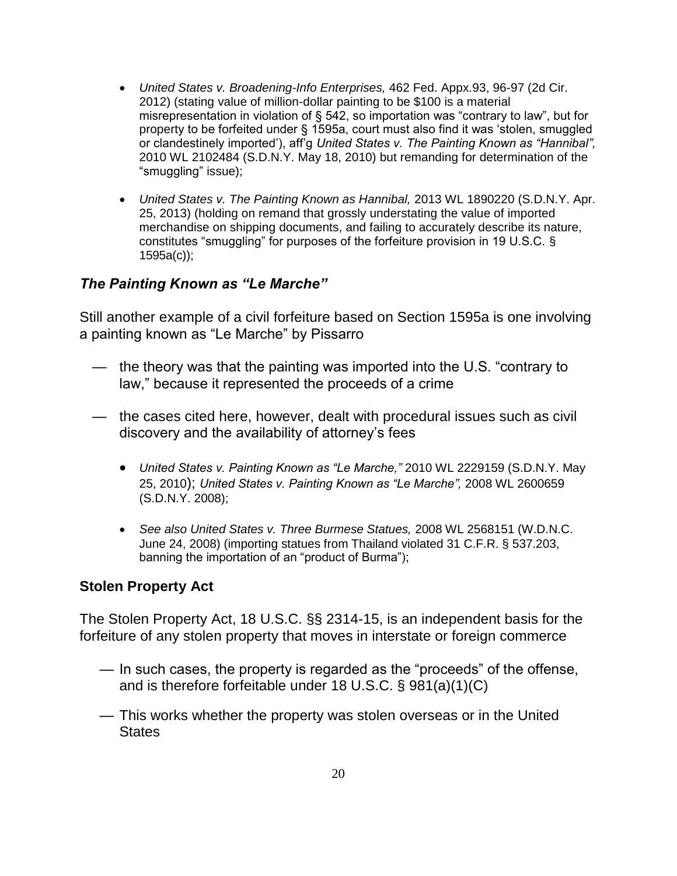- United States v. Broadening-Info Enterprises, 462 Fed. Appx.93, 96-97 (2d Cir. 2012) (stating value of million-dollar painting to be \$100 is a material misrepresentation in violation of § 542, so importation was "contrary to law", but for property to be forfeited under § 1595a, court must also find it was 'stolen, smuggled or clandestinely imported'), aff'g *United States v. The Painting Known as "Hannibal",*  2010 WL 2102484 (S.D.N.Y. May 18, 2010) but remanding for determination of the "smuggling" issue);
- United States v. The Painting Known as Hannibal, 2013 WL 1890220 (S.D.N.Y. Apr. 25, 2013) (holding on remand that grossly understating the value of imported merchandise on shipping documents, and failing to accurately describe its nature, constitutes "smuggling" for purposes of the forfeiture provision in 19 U.S.C. § 1595a(c));

## *The Painting Known as "Le Marche"*

Still another example of a civil forfeiture based on Section 1595a is one involving a painting known as "Le Marche" by Pissarro

- the theory was that the painting was imported into the U.S. "contrary to law," because it represented the proceeds of a crime
- the cases cited here, however, dealt with procedural issues such as civil discovery and the availability of attorney's fees
	- Uni*ted States v. Painting Known as "Le Marche,"* 2010 WL 2229159 (S.D.N.Y. May 25, 2010); *United States v. Painting Known as "Le Marche",* 2008 WL 2600659 (S.D.N.Y. 2008);
	- See also United States v. Three Burmese Statues, 2008 WL 2568151 (W.D.N.C. June 24, 2008) (importing statues from Thailand violated 31 C.F.R. § 537.203, banning the importation of an "product of Burma");

#### **Stolen Property Act**

The Stolen Property Act, 18 U.S.C. §§ 2314-15, is an independent basis for the forfeiture of any stolen property that moves in interstate or foreign commerce

- In such cases, the property is regarded as the "proceeds" of the offense, and is therefore forfeitable under 18 U.S.C. § 981(a)(1)(C)
- This works whether the property was stolen overseas or in the United **States**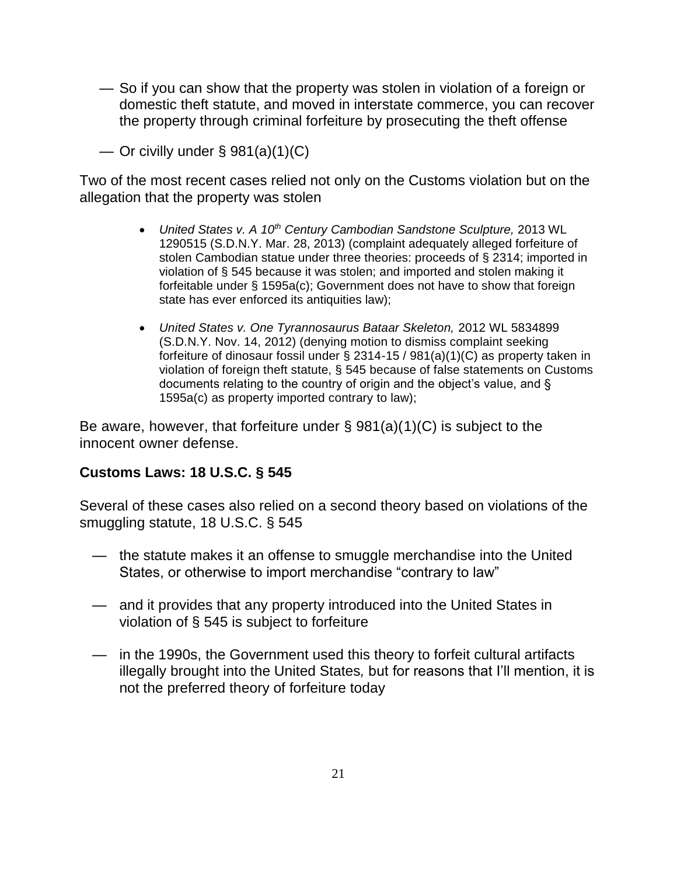— So if you can show that the property was stolen in violation of a foreign or domestic theft statute, and moved in interstate commerce, you can recover the property through criminal forfeiture by prosecuting the theft offense

— Or civilly under  $\S$  981(a)(1)(C)

Two of the most recent cases relied not only on the Customs violation but on the allegation that the property was stolen

- United States v. A  $10^{th}$  Century Cambodian Sandstone Sculpture, 2013 WL 1290515 (S.D.N.Y. Mar. 28, 2013) (complaint adequately alleged forfeiture of stolen Cambodian statue under three theories: proceeds of § 2314; imported in violation of § 545 because it was stolen; and imported and stolen making it forfeitable under § 1595a(c); Government does not have to show that foreign state has ever enforced its antiquities law);
- United States v. One Tyrannosaurus Bataar Skeleton, 2012 WL 5834899 (S.D.N.Y. Nov. 14, 2012) (denying motion to dismiss complaint seeking forfeiture of dinosaur fossil under § 2314-15 / 981(a)(1)(C) as property taken in violation of foreign theft statute, § 545 because of false statements on Customs documents relating to the country of origin and the object's value, and § 1595a(c) as property imported contrary to law);

Be aware, however, that forfeiture under  $\S$  981(a)(1)(C) is subject to the innocent owner defense.

# **Customs Laws: 18 U.S.C. § 545**

Several of these cases also relied on a second theory based on violations of the smuggling statute, 18 U.S.C. § 545

- the statute makes it an offense to smuggle merchandise into the United States, or otherwise to import merchandise "contrary to law"
- and it provides that any property introduced into the United States in violation of § 545 is subject to forfeiture
- in the 1990s, the Government used this theory to forfeit cultural artifacts illegally brought into the United States, but for reasons that I'll mention, it is not the preferred theory of forfeiture today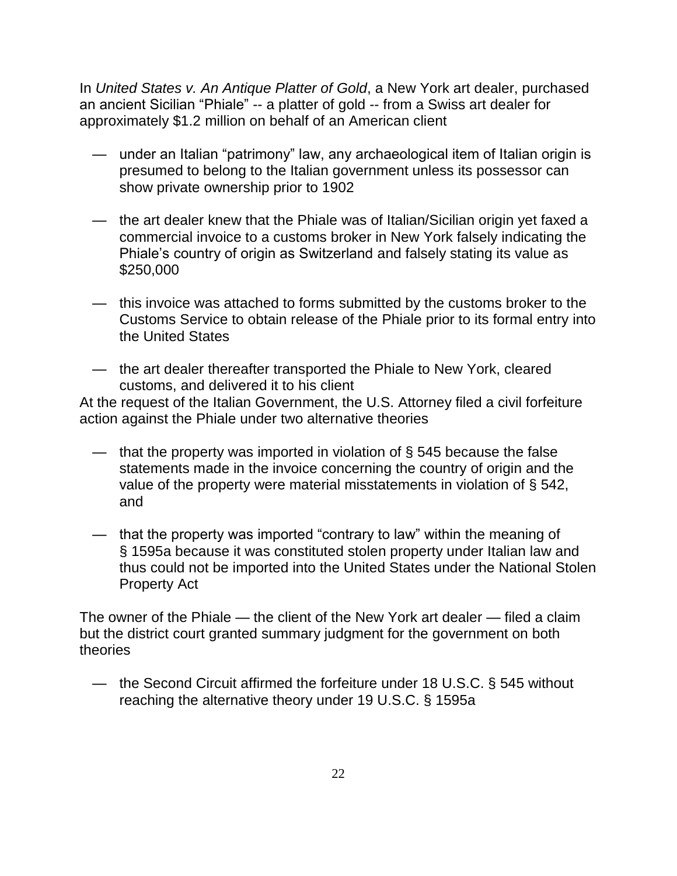In United States v. An Antique Platter of Gold, a New York art dealer, purchased an ancient Sicilian "Phiale" -- a platter of gold -- from a Swiss art dealer for approximately \$1.2 million on behalf of an American client

- under an Italian "patrimony" law, any archaeological item of Italian origin is presumed to belong to the Italian government unless its possessor can show private ownership prior to 1902
- the art dealer knew that the Phiale was of Italian/Sicilian origin yet faxed a commercial invoice to a customs broker in New York falsely indicating the Phiale's country of origin as Switzerland and falsely stating its value as \$250,000
- this invoice was attached to forms submitted by the customs broker to the Customs Service to obtain release of the Phiale prior to its formal entry into the United States
- the art dealer thereafter transported the Phiale to New York, cleared customs, and delivered it to his client

At the request of the Italian Government, the U.S. Attorney filed a civil forfeiture action against the Phiale under two alternative theories

- that the property was imported in violation of  $\S$  545 because the false statements made in the invoice concerning the country of origin and the value of the property were material misstatements in violation of § 542, and
- that the property was imported "contrary to law" within the meaning of § 1595a because it was constituted stolen property under Italian law and thus could not be imported into the United States under the National Stolen Property Act

The owner of the Phiale — the client of the New York art dealer — filed a claim but the district court granted summary judgment for the government on both theories

 — the Second Circuit affirmed the forfeiture under 18 U.S.C. § 545 without reaching the alternative theory under 19 U.S.C. § 1595a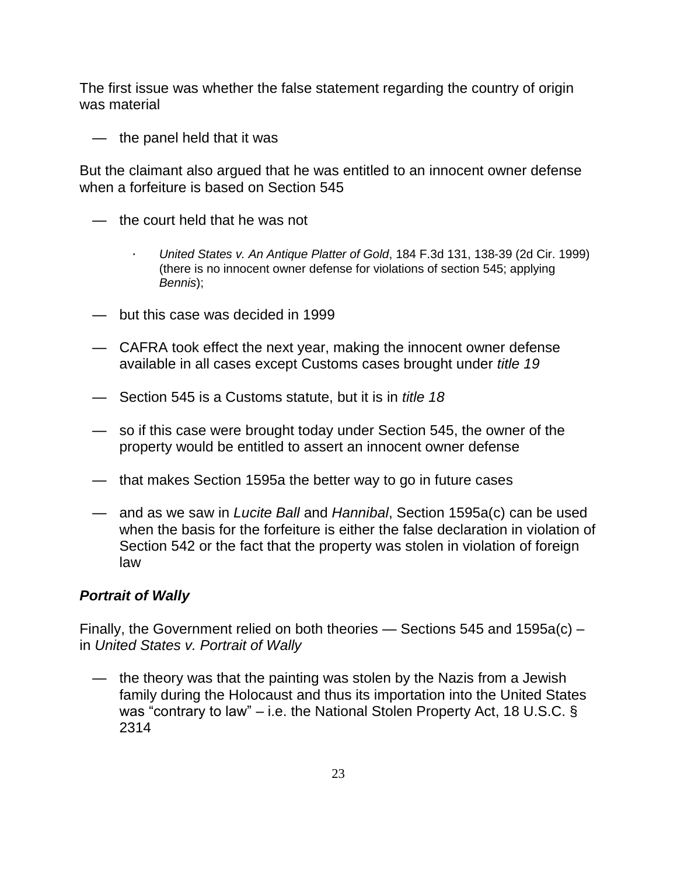The first issue was whether the false statement regarding the country of origin was material

— the panel held that it was

But the claimant also argued that he was entitled to an innocent owner defense when a forfeiture is based on Section 545

- the court held that he was not
	- · United States v. An Antique Platter of Gold, 184 F.3d 131, 138-39 (2d Cir. 1999) (there is no innocent owner defense for violations of section 545; applying Bennis);
- but this case was decided in 1999
- CAFRA took effect the next year, making the innocent owner defense available in all cases except Customs cases brought under title 19
- Section 545 is a Customs statute, but it is in title 18
- *—* so if this case were brought today under Section 545, the owner of the property would be entitled to assert an innocent owner defense
- that makes Section 1595a the better way to go in future cases
- and as we saw in Lucite Ball and Hannibal, Section 1595a(c) can be used when the basis for the forfeiture is either the false declaration in violation of Section 542 or the fact that the property was stolen in violation of foreign law

## **Portrait of Wally**

Finally, the Government relied on both theories — Sections 545 and 1595a(c) – in United States v. Portrait of Wally

 *—* the theory was that the painting was stolen by the Nazis from a Jewish family during the Holocaust and thus its importation into the United States was "contrary to law" – i.e. the National Stolen Property Act, 18 U.S.C. § 2314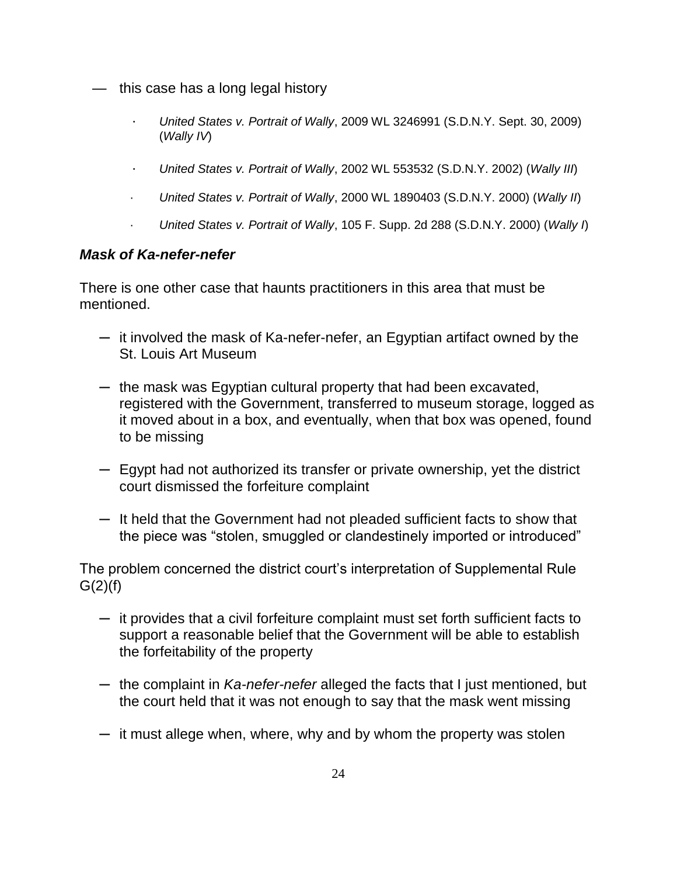- this case has a long legal history
	- · United States v. Portrait of Wally, 2009 WL 3246991 (S.D.N.Y. Sept. 30, 2009) (Wally IV)
	- · United States v. Portrait of Wally, 2002 WL 553532 (S.D.N.Y. 2002) (Wally III)
	- · United States v. Portrait of Wally, 2000 WL 1890403 (S.D.N.Y. 2000) (Wally II)
	- United States v. Portrait of Wally, 105 F. Supp. 2d 288 (S.D.N.Y. 2000) (Wally  $\eta$

### **Mask of Ka-nefer-nefer**

There is one other case that haunts practitioners in this area that must be mentioned.

- ─ it involved the mask of Ka-nefer-nefer, an Egyptian artifact owned by the St. Louis Art Museum
- ─ the mask was Egyptian cultural property that had been excavated, registered with the Government, transferred to museum storage, logged as it moved about in a box, and eventually, when that box was opened, found to be missing
- ─ Egypt had not authorized its transfer or private ownership, yet the district court dismissed the forfeiture complaint
- ─ It held that the Government had not pleaded sufficient facts to show that the piece was "stolen, smuggled or clandestinely imported or introduced"

The problem concerned the district court's interpretation of Supplemental Rule  $G(2)(f)$ 

- ─ it provides that a civil forfeiture complaint must set forth sufficient facts to support a reasonable belief that the Government will be able to establish the forfeitability of the property
- the complaint in Ka-nefer-nefer alleged the facts that I just mentioned, but the court held that it was not enough to say that the mask went missing
- $-$  it must allege when, where, why and by whom the property was stolen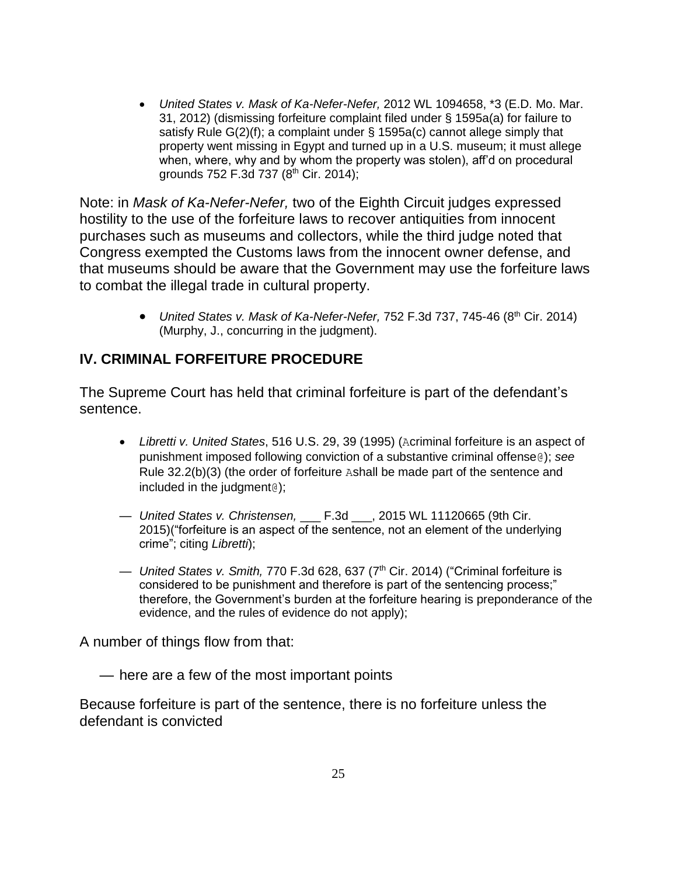United States v. Mask of Ka-Nefer-Nefer, 2012 WL 1094658, \*3 (E.D. Mo. Mar. 31, 2012) (dismissing forfeiture complaint filed under § 1595a(a) for failure to satisfy Rule G(2)(f); a complaint under § 1595a(c) cannot allege simply that property went missing in Egypt and turned up in a U.S. museum; it must allege when, where, why and by whom the property was stolen), aff'd on procedural grounds 752 F.3d 737 (8<sup>th</sup> Cir. 2014);

Note: in Mask of Ka-Nefer-Nefer, two of the Eighth Circuit judges expressed hostility to the use of the forfeiture laws to recover antiquities from innocent purchases such as museums and collectors, while the third judge noted that Congress exempted the Customs laws from the innocent owner defense, and that museums should be aware that the Government may use the forfeiture laws to combat the illegal trade in cultural property.

> • United States v. Mask of Ka-Nefer-Nefer, 752 F.3d 737, 745-46 (8<sup>th</sup> Cir. 2014) (Murphy, J., concurring in the judgment).

# **IV. CRIMINAL FORFEITURE PROCEDURE**

The Supreme Court has held that criminal forfeiture is part of the defendant's sentence.

- Libretti v. United States, 516 U.S. 29, 39 (1995) (Acriminal forfeiture is an aspect of punishment imposed following conviction of a substantive criminal offense@); see Rule 32.2(b)(3) (the order of forfeiture Ashall be made part of the sentence and included in the judgment@);
- United States v. Christensen, F.3d , 2015 WL 11120665 (9th Cir. 2015)("forfeiture is an aspect of the sentence, not an element of the underlying crime"; citing Libretti);
- United States v. Smith, 770 F.3d 628, 637 ( $7<sup>th</sup>$  Cir. 2014) ("Criminal forfeiture is considered to be punishment and therefore is part of the sentencing process;" therefore, the Government's burden at the forfeiture hearing is preponderance of the evidence, and the rules of evidence do not apply);

A number of things flow from that:

— here are a few of the most important points

Because forfeiture is part of the sentence, there is no forfeiture unless the defendant is convicted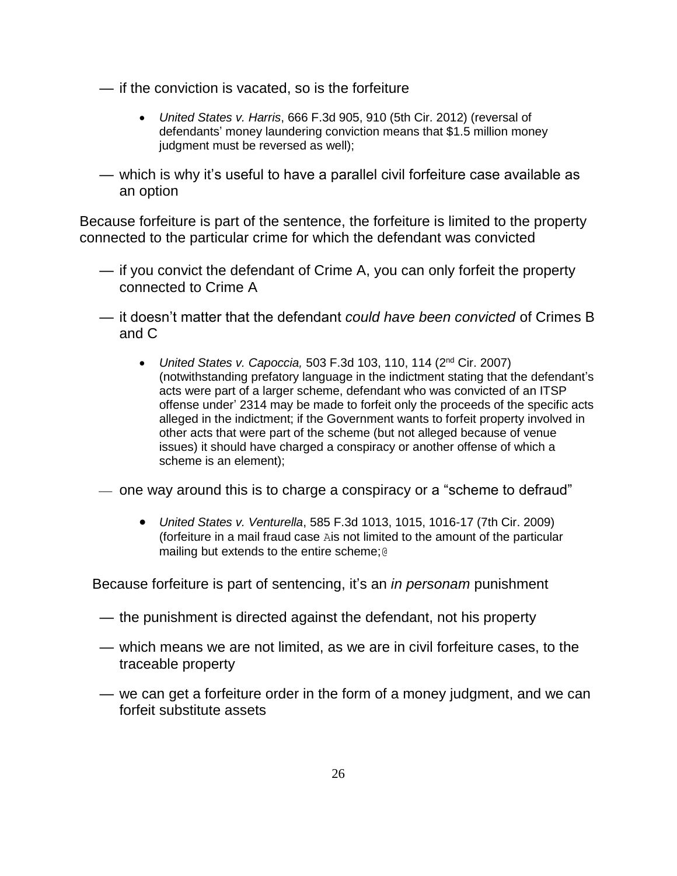- if the conviction is vacated, so is the forfeiture
	- United States v. Harris, 666 F.3d 905, 910 (5th Cir. 2012) (reversal of defendants' money laundering conviction means that \$1.5 million money judgment must be reversed as well);
- which is why it's useful to have a parallel civil forfeiture case available as an option

Because forfeiture is part of the sentence, the forfeiture is limited to the property connected to the particular crime for which the defendant was convicted

- if you convict the defendant of Crime A, you can only forfeit the property connected to Crime A
- it doesn't matter that the defendant could have been convicted of Crimes B and C
	- United States v. Capoccia, 503 F.3d 103, 110, 114  $(2^{nd}$  Cir. 2007) (notwithstanding prefatory language in the indictment stating that the defendant's acts were part of a larger scheme, defendant who was convicted of an ITSP offense under' 2314 may be made to forfeit only the proceeds of the specific acts alleged in the indictment; if the Government wants to forfeit property involved in other acts that were part of the scheme (but not alleged because of venue issues) it should have charged a conspiracy or another offense of which a scheme is an element);
- $\sim$  one way around this is to charge a conspiracy or a "scheme to defraud"
	- United States v. Venturella, 585 F.3d 1013, 1015, 1016-17 (7th Cir. 2009) (forfeiture in a mail fraud case Ais not limited to the amount of the particular mailing but extends to the entire scheme;@

Because forfeiture is part of sentencing, it's an *in personam* punishment

- the punishment is directed against the defendant, not his property
- which means we are not limited, as we are in civil forfeiture cases, to the traceable property
- we can get a forfeiture order in the form of a money judgment, and we can forfeit substitute assets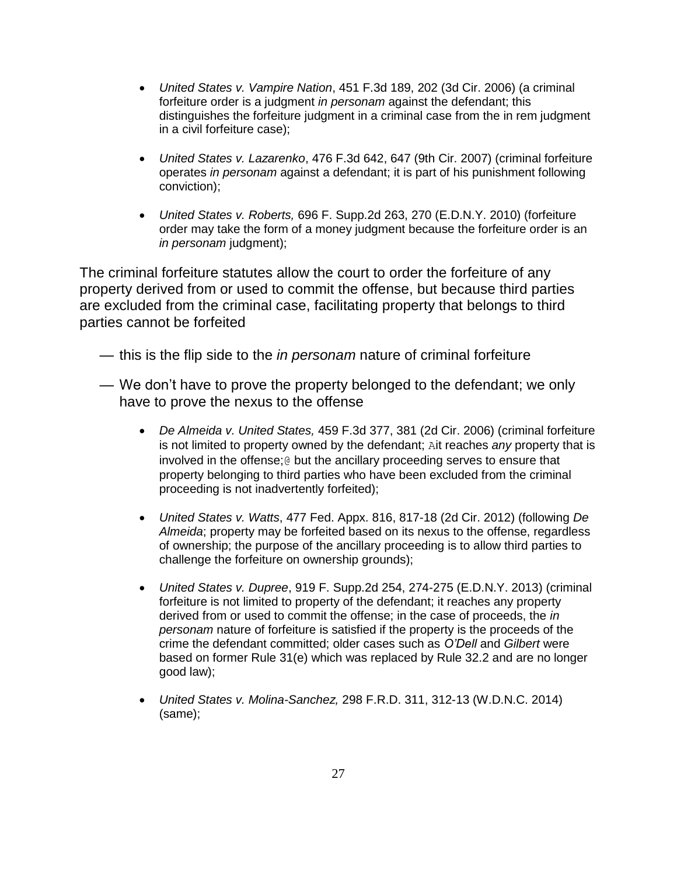- United States v. Vampire Nation, 451 F.3d 189, 202 (3d Cir. 2006) (a criminal forfeiture order is a judgment in personam against the defendant; this distinguishes the forfeiture judgment in a criminal case from the in rem judgment in a civil forfeiture case);
- United States v. Lazarenko, 476 F.3d 642, 647 (9th Cir. 2007) (criminal forfeiture operates in personam against a defendant; it is part of his punishment following conviction);
- United States v. Roberts, 696 F. Supp.2d 263, 270 (E.D.N.Y. 2010) (forfeiture order may take the form of a money judgment because the forfeiture order is an in personam judgment);

The criminal forfeiture statutes allow the court to order the forfeiture of any property derived from or used to commit the offense, but because third parties are excluded from the criminal case, facilitating property that belongs to third parties cannot be forfeited

- this is the flip side to the *in personam* nature of criminal forfeiture
- We don't have to prove the property belonged to the defendant; we only have to prove the nexus to the offense
	- De Almeida v. United States, 459 F.3d 377, 381 (2d Cir. 2006) (criminal forfeiture is not limited to property owned by the defendant; Ait reaches any property that is involved in the offense;@ but the ancillary proceeding serves to ensure that property belonging to third parties who have been excluded from the criminal proceeding is not inadvertently forfeited);
	- United States v. Watts, 477 Fed. Appx. 816, 817-18 (2d Cir. 2012) (following De Almeida; property may be forfeited based on its nexus to the offense, regardless of ownership; the purpose of the ancillary proceeding is to allow third parties to challenge the forfeiture on ownership grounds);
	- United States v. Dupree, 919 F. Supp.2d 254, 274-275 (E.D.N.Y. 2013) (criminal forfeiture is not limited to property of the defendant; it reaches any property derived from or used to commit the offense; in the case of proceeds, the *in* personam nature of forfeiture is satisfied if the property is the proceeds of the crime the defendant committed; older cases such as *O'Dell* and Gilbert were based on former Rule 31(e) which was replaced by Rule 32.2 and are no longer good law);
	- United States v. Molina-Sanchez, 298 F.R.D. 311, 312-13 (W.D.N.C. 2014) (same);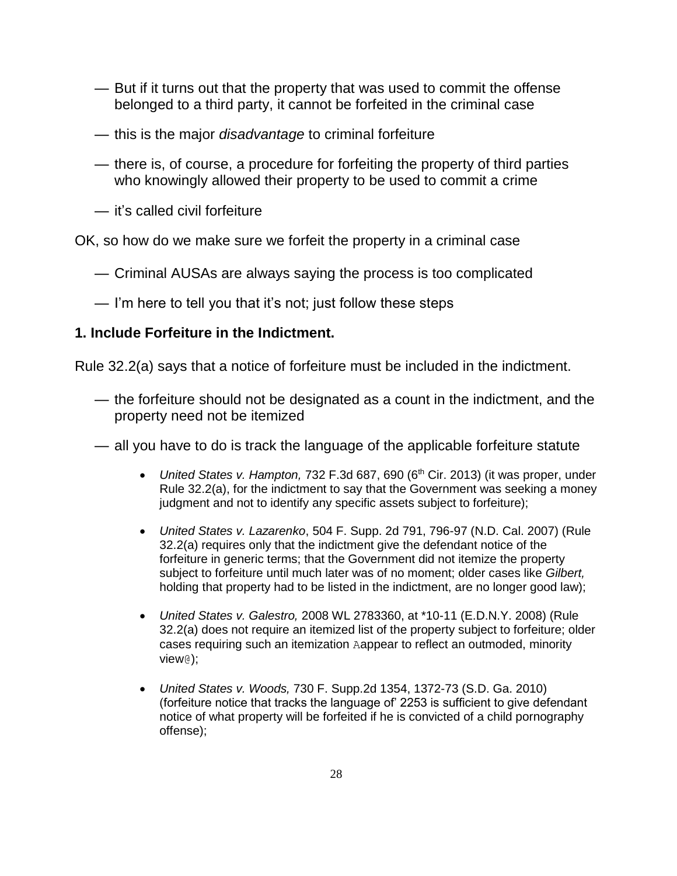- But if it turns out that the property that was used to commit the offense belonged to a third party, it cannot be forfeited in the criminal case
- this is the major *disadvantage* to criminal forfeiture
- there is, of course, a procedure for forfeiting the property of third parties who knowingly allowed their property to be used to commit a crime
- it's called civil forfeiture

OK, so how do we make sure we forfeit the property in a criminal case

- Criminal AUSAs are always saying the process is too complicated
- I'm here to tell you that it's not; just follow these steps

## **1. Include Forfeiture in the Indictment.**

Rule 32.2(a) says that a notice of forfeiture must be included in the indictment.

- the forfeiture should not be designated as a count in the indictment, and the property need not be itemized
- all you have to do is track the language of the applicable forfeiture statute
	- United States v. Hampton, 732 F.3d 687, 690 (6<sup>th</sup> Cir. 2013) (it was proper, under Rule 32.2(a), for the indictment to say that the Government was seeking a money judgment and not to identify any specific assets subject to forfeiture);
	- United States v. Lazarenko, 504 F. Supp. 2d 791, 796-97 (N.D. Cal. 2007) (Rule 32.2(a) requires only that the indictment give the defendant notice of the forfeiture in generic terms; that the Government did not itemize the property subject to forfeiture until much later was of no moment; older cases like Gilbert, holding that property had to be listed in the indictment, are no longer good law);
	- United States v. Galestro, 2008 WL 2783360, at \*10-11 (E.D.N.Y. 2008) (Rule 32.2(a) does not require an itemized list of the property subject to forfeiture; older cases requiring such an itemization Aappear to reflect an outmoded, minority view@);
	- United States v. Woods, 730 F. Supp.2d 1354, 1372-73 (S.D. Ga. 2010) (forfeiture notice that tracks the language of' 2253 is sufficient to give defendant notice of what property will be forfeited if he is convicted of a child pornography offense);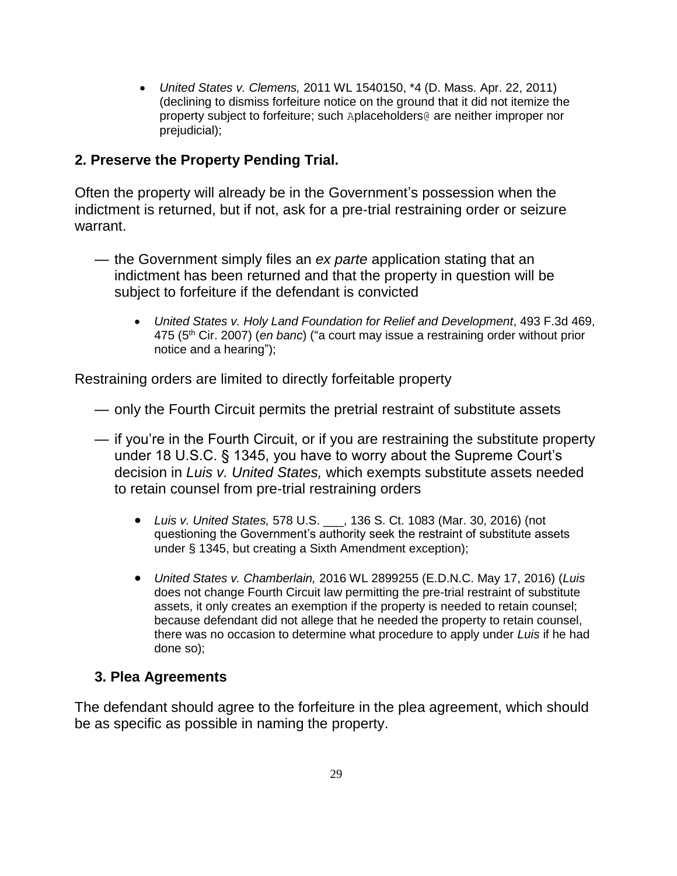• United States v. Clemens, 2011 WL 1540150, \*4 (D. Mass. Apr. 22, 2011) (declining to dismiss forfeiture notice on the ground that it did not itemize the property subject to forfeiture; such Aplaceholders@ are neither improper nor prejudicial);

## **2. Preserve the Property Pending Trial.**

Often the property will already be in the Government's possession when the indictment is returned, but if not, ask for a pre-trial restraining order or seizure warrant.

- the Government simply files an ex parte application stating that an indictment has been returned and that the property in question will be subject to forfeiture if the defendant is convicted
	- United States v. Holy Land Foundation for Relief and Development, 493 F.3d 469, 475 ( $5<sup>th</sup>$  Cir. 2007) (*en banc*) ("a court may issue a restraining order without prior notice and a hearing");

Restraining orders are limited to directly forfeitable property

- only the Fourth Circuit permits the pretrial restraint of substitute assets
- if you're in the Fourth Circuit, or if you are restraining the substitute property under 18 U.S.C. § 1345, you have to worry about the Supreme Court's decision in Luis v. United States, which exempts substitute assets needed to retain counsel from pre-trial restraining orders
	- Luis v. United States, 578 U.S. \_\_\_, 136 S. Ct. 1083 (Mar. 30, 2016) (not questioning the Government's authority seek the restraint of substitute assets under § 1345, but creating a Sixth Amendment exception);
	- United States v. Chamberlain, 2016 WL 2899255 (E.D.N.C. May 17, 2016) (Luis does not change Fourth Circuit law permitting the pre-trial restraint of substitute assets, it only creates an exemption if the property is needed to retain counsel; because defendant did not allege that he needed the property to retain counsel, there was no occasion to determine what procedure to apply under Luis if he had done so);

## **3. Plea Agreements**

The defendant should agree to the forfeiture in the plea agreement, which should be as specific as possible in naming the property.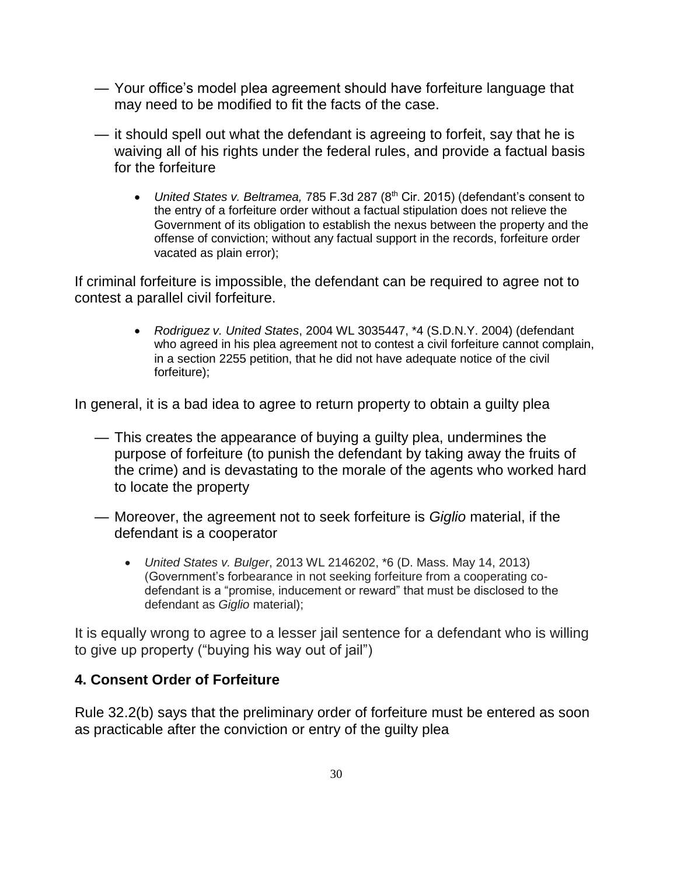- Your office's model plea agreement should have forfeiture language that may need to be modified to fit the facts of the case.
- it should spell out what the defendant is agreeing to forfeit, say that he is waiving all of his rights under the federal rules, and provide a factual basis for the forfeiture
	- United States v. Beltramea, 785 F.3d 287 ( $8<sup>th</sup>$  Cir. 2015) (defendant's consent to the entry of a forfeiture order without a factual stipulation does not relieve the Government of its obligation to establish the nexus between the property and the offense of conviction; without any factual support in the records, forfeiture order vacated as plain error);

If criminal forfeiture is impossible, the defendant can be required to agree not to contest a parallel civil forfeiture.

> • Rodriguez v. United States, 2004 WL 3035447, \*4 (S.D.N.Y. 2004) (defendant who agreed in his plea agreement not to contest a civil forfeiture cannot complain, in a section 2255 petition, that he did not have adequate notice of the civil forfeiture);

In general, it is a bad idea to agree to return property to obtain a guilty plea

- This creates the appearance of buying a guilty plea, undermines the purpose of forfeiture (to punish the defendant by taking away the fruits of the crime) and is devastating to the morale of the agents who worked hard to locate the property
- Moreover, the agreement not to seek forfeiture is Giglio material, if the defendant is a cooperator
	- United States v. Bulger, 2013 WL 2146202, \*6 (D. Mass. May 14, 2013) (Government's forbearance in not seeking forfeiture from a cooperating codefendant is a "promise, inducement or reward" that must be disclosed to the defendant as Giglio material);

It is equally wrong to agree to a lesser jail sentence for a defendant who is willing to give up property ("buying his way out of jail")

## **4. Consent Order of Forfeiture**

Rule 32.2(b) says that the preliminary order of forfeiture must be entered as soon as practicable after the conviction or entry of the guilty plea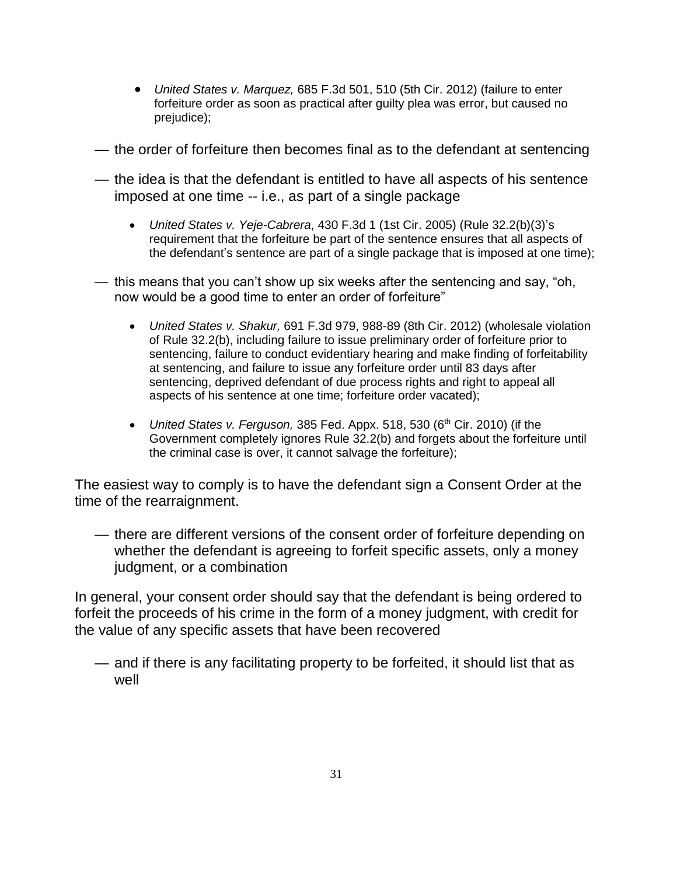- United States v. Marquez, 685 F.3d 501, 510 (5th Cir. 2012) (failure to enter forfeiture order as soon as practical after guilty plea was error, but caused no prejudice);
- the order of forfeiture then becomes final as to the defendant at sentencing
- the idea is that the defendant is entitled to have all aspects of his sentence imposed at one time -- i.e., as part of a single package
	- United States v. Yeje-Cabrera, 430 F.3d 1 (1st Cir. 2005) (Rule 32.2(b)(3)'s requirement that the forfeiture be part of the sentence ensures that all aspects of the defendant's sentence are part of a single package that is imposed at one time);
- this means that you can't show up six weeks after the sentencing and say, "oh, now would be a good time to enter an order of forfeiture"
	- United States v. Shakur, 691 F.3d 979, 988-89 (8th Cir. 2012) (wholesale violation of Rule 32.2(b), including failure to issue preliminary order of forfeiture prior to sentencing, failure to conduct evidentiary hearing and make finding of forfeitability at sentencing, and failure to issue any forfeiture order until 83 days after sentencing, deprived defendant of due process rights and right to appeal all aspects of his sentence at one time; forfeiture order vacated);
	- United States v. Ferguson, 385 Fed. Appx. 518, 530 ( $6<sup>th</sup>$  Cir. 2010) (if the Government completely ignores Rule 32.2(b) and forgets about the forfeiture until the criminal case is over, it cannot salvage the forfeiture);

The easiest way to comply is to have the defendant sign a Consent Order at the time of the rearraignment.

— there are different versions of the consent order of forfeiture depending on whether the defendant is agreeing to forfeit specific assets, only a money judgment, or a combination

In general, your consent order should say that the defendant is being ordered to forfeit the proceeds of his crime in the form of a money judgment, with credit for the value of any specific assets that have been recovered

— and if there is any facilitating property to be forfeited, it should list that as well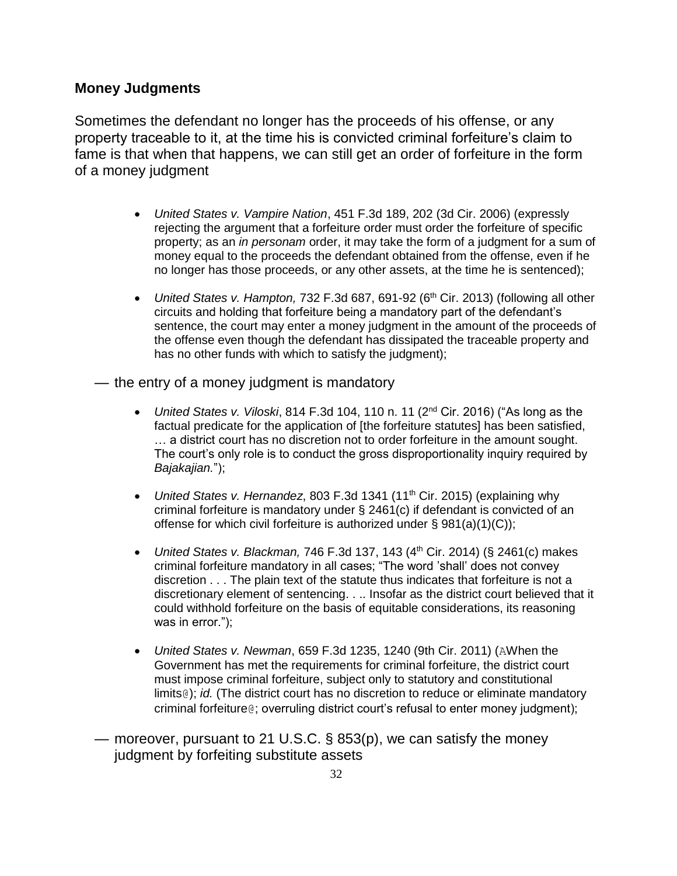#### **Money Judgments**

Sometimes the defendant no longer has the proceeds of his offense, or any property traceable to it, at the time his is convicted criminal forfeiture's claim to fame is that when that happens, we can still get an order of forfeiture in the form of a money judgment

- United States v. Vampire Nation, 451 F.3d 189, 202 (3d Cir. 2006) (expressly rejecting the argument that a forfeiture order must order the forfeiture of specific property; as an in personam order, it may take the form of a judgment for a sum of money equal to the proceeds the defendant obtained from the offense, even if he no longer has those proceeds, or any other assets, at the time he is sentenced);
- United States v. Hampton, 732 F.3d 687, 691-92 ( $6<sup>th</sup>$  Cir. 2013) (following all other circuits and holding that forfeiture being a mandatory part of the defendant's sentence, the court may enter a money judgment in the amount of the proceeds of the offense even though the defendant has dissipated the traceable property and has no other funds with which to satisfy the judgment);
- the entry of a money judgment is mandatory
	- United States v. Viloski, 814 F.3d 104, 110 n. 11 (2<sup>nd</sup> Cir. 2016) ("As long as the factual predicate for the application of [the forfeiture statutes] has been satisfied, … a district court has no discretion not to order forfeiture in the amount sought. The court's only role is to conduct the gross disproportionality inquiry required by Bajakajian.");
	- United States v. Hernandez, 803 F.3d 1341 (11<sup>th</sup> Cir. 2015) (explaining why criminal forfeiture is mandatory under § 2461(c) if defendant is convicted of an offense for which civil forfeiture is authorized under § 981(a)(1)(C));
	- United States v. Blackman, 746 F.3d 137, 143  $(4<sup>th</sup>$  Cir. 2014) (§ 2461(c) makes criminal forfeiture mandatory in all cases; "The word 'shall' does not convey discretion . . . The plain text of the statute thus indicates that forfeiture is not a discretionary element of sentencing. . .. Insofar as the district court believed that it could withhold forfeiture on the basis of equitable considerations, its reasoning was in error.");
	- United States v. Newman, 659 F.3d 1235, 1240 (9th Cir. 2011) (AWhen the Government has met the requirements for criminal forfeiture, the district court must impose criminal forfeiture, subject only to statutory and constitutional limits<sup>®</sup>); *id.* (The district court has no discretion to reduce or eliminate mandatory criminal forfeiture@; overruling district court's refusal to enter money judgment);
- moreover, pursuant to 21 U.S.C. § 853(p), we can satisfy the money judgment by forfeiting substitute assets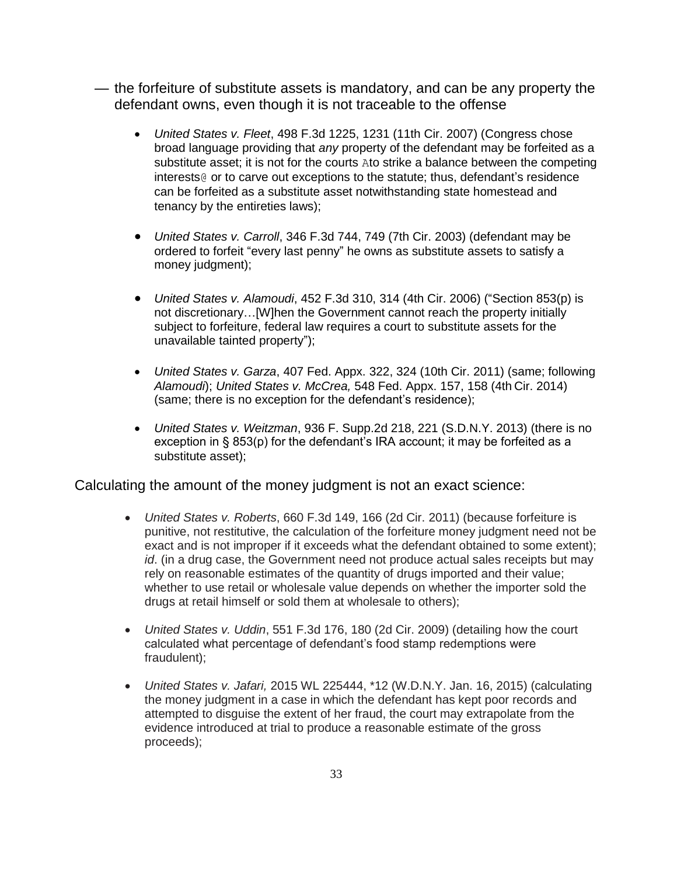- the forfeiture of substitute assets is mandatory, and can be any property the defendant owns, even though it is not traceable to the offense
	- United States v. Fleet, 498 F.3d 1225, 1231 (11th Cir. 2007) (Congress chose broad language providing that any property of the defendant may be forfeited as a substitute asset; it is not for the courts Ato strike a balance between the competing interests@ or to carve out exceptions to the statute; thus, defendant's residence can be forfeited as a substitute asset notwithstanding state homestead and tenancy by the entireties laws);
	- United States v. Carroll, 346 F.3d 744, 749 (7th Cir. 2003) (defendant may be ordered to forfeit "every last penny" he owns as substitute assets to satisfy a money judgment);
	- United States v. Alamoudi, 452 F.3d 310, 314 (4th Cir. 2006) ("Section 853(p) is not discretionary…[W]hen the Government cannot reach the property initially subject to forfeiture, federal law requires a court to substitute assets for the unavailable tainted property");
	- United States v. Garza, 407 Fed. Appx. 322, 324 (10th Cir. 2011) (same; following Alamoudi); United States v. McCrea, 548 Fed. Appx. 157, 158 (4th Cir. 2014) (same; there is no exception for the defendant's residence);
	- United States v. Weitzman, 936 F. Supp.2d 218, 221 (S.D.N.Y. 2013) (there is no exception in § 853(p) for the defendant's IRA account; it may be forfeited as a substitute asset);

Calculating the amount of the money judgment is not an exact science:

- United States v. Roberts, 660 F.3d 149, 166 (2d Cir. 2011) (because forfeiture is punitive, not restitutive, the calculation of the forfeiture money judgment need not be exact and is not improper if it exceeds what the defendant obtained to some extent); id. (in a drug case, the Government need not produce actual sales receipts but may rely on reasonable estimates of the quantity of drugs imported and their value; whether to use retail or wholesale value depends on whether the importer sold the drugs at retail himself or sold them at wholesale to others);
- United States v. Uddin, 551 F.3d 176, 180 (2d Cir. 2009) (detailing how the court calculated what percentage of defendant's food stamp redemptions were fraudulent);
- United States v. Jafari, 2015 WL 225444, \*12 (W.D.N.Y. Jan. 16, 2015) (calculating the money judgment in a case in which the defendant has kept poor records and attempted to disguise the extent of her fraud, the court may extrapolate from the evidence introduced at trial to produce a reasonable estimate of the gross proceeds);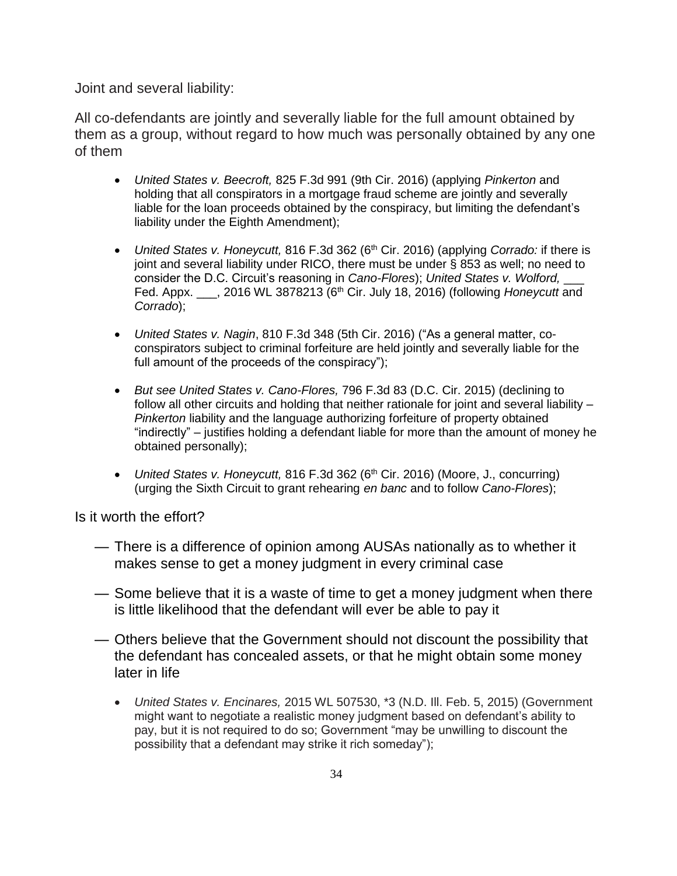Joint and several liability:

All co-defendants are jointly and severally liable for the full amount obtained by them as a group, without regard to how much was personally obtained by any one of them

- United States v. Beecroft, 825 F.3d 991 (9th Cir. 2016) (applying Pinkerton and holding that all conspirators in a mortgage fraud scheme are jointly and severally liable for the loan proceeds obtained by the conspiracy, but limiting the defendant's liability under the Eighth Amendment);
- United States v. Honeycutt, 816 F.3d 362 (6<sup>th</sup> Cir. 2016) (applying Corrado: if there is joint and several liability under RICO, there must be under § 853 as well; no need to consider the D.C. Circuit's reasoning in Cano-Flores); United States v. Wolford, Fed. Appx. \_\_\_, 2016 WL 3878213 (6<sup>th</sup> Cir. July 18, 2016) (following *Honeycutt* and Corrado);
- United States v. Nagin, 810 F.3d 348 (5th Cir. 2016) ("As a general matter, coconspirators subject to criminal forfeiture are held jointly and severally liable for the full amount of the proceeds of the conspiracy");
- But see United States v. Cano-Flores, 796 F.3d 83 (D.C. Cir. 2015) (declining to follow all other circuits and holding that neither rationale for joint and several liability – Pinkerton liability and the language authorizing forfeiture of property obtained "indirectly" – justifies holding a defendant liable for more than the amount of money he obtained personally);
- United States v. Honeycutt, 816 F.3d 362 (6<sup>th</sup> Cir. 2016) (Moore, J., concurring) (urging the Sixth Circuit to grant rehearing en banc and to follow Cano-Flores);

Is it worth the effort?

- There is a difference of opinion among AUSAs nationally as to whether it makes sense to get a money judgment in every criminal case
- Some believe that it is a waste of time to get a money judgment when there is little likelihood that the defendant will ever be able to pay it
- Others believe that the Government should not discount the possibility that the defendant has concealed assets, or that he might obtain some money later in life
	- United States v. Encinares, 2015 WL 507530, \*3 (N.D. Ill. Feb. 5, 2015) (Government might want to negotiate a realistic money judgment based on defendant's ability to pay, but it is not required to do so; Government "may be unwilling to discount the possibility that a defendant may strike it rich someday");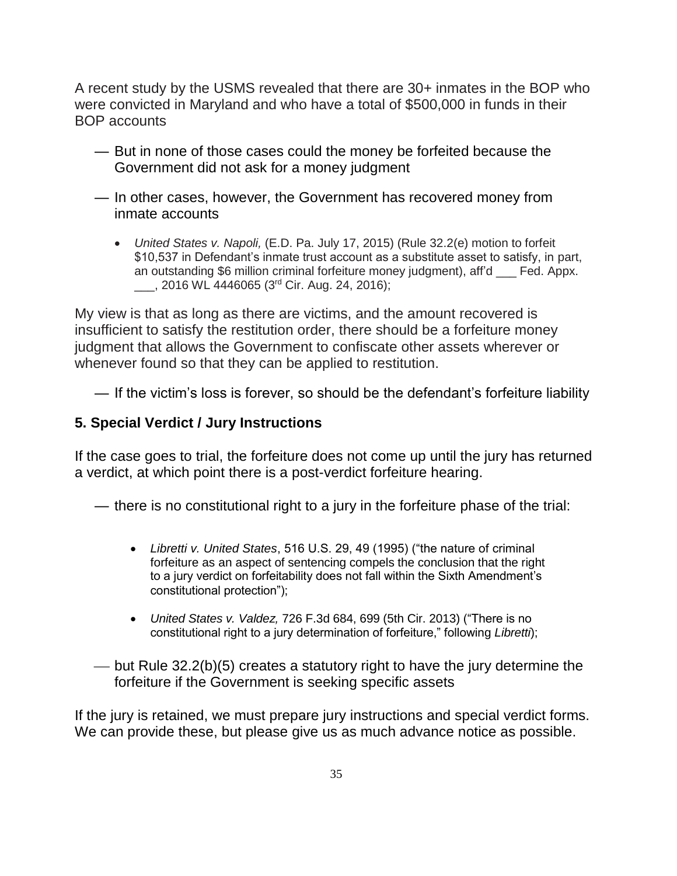A recent study by the USMS revealed that there are 30+ inmates in the BOP who were convicted in Maryland and who have a total of \$500,000 in funds in their BOP accounts

- But in none of those cases could the money be forfeited because the Government did not ask for a money judgment
- In other cases, however, the Government has recovered money from inmate accounts
	- United States v. Napoli, (E.D. Pa. July 17, 2015) (Rule 32.2(e) motion to forfeit \$10,537 in Defendant's inmate trust account as a substitute asset to satisfy, in part, an outstanding \$6 million criminal forfeiture money judgment), aff'd \_\_\_ Fed. Appx. \_\_\_, 2016 WL 4446065 (3rd Cir. Aug. 24, 2016);

My view is that as long as there are victims, and the amount recovered is insufficient to satisfy the restitution order, there should be a forfeiture money judgment that allows the Government to confiscate other assets wherever or whenever found so that they can be applied to restitution.

— If the victim's loss is forever, so should be the defendant's forfeiture liability

## **5. Special Verdict / Jury Instructions**

If the case goes to trial, the forfeiture does not come up until the jury has returned a verdict, at which point there is a post-verdict forfeiture hearing.

— there is no constitutional right to a jury in the forfeiture phase of the trial:

- Libretti v. United States, 516 U.S. 29, 49 (1995) ("the nature of criminal forfeiture as an aspect of sentencing compels the conclusion that the right to a jury verdict on forfeitability does not fall within the Sixth Amendment's constitutional protection");
- United States v. Valdez, 726 F.3d 684, 699 (5th Cir. 2013) ("There is no constitutional right to a jury determination of forfeiture," following Libretti);
- $-\frac{1}{2}$  but Rule 32.2(b)(5) creates a statutory right to have the jury determine the forfeiture if the Government is seeking specific assets

If the jury is retained, we must prepare jury instructions and special verdict forms. We can provide these, but please give us as much advance notice as possible.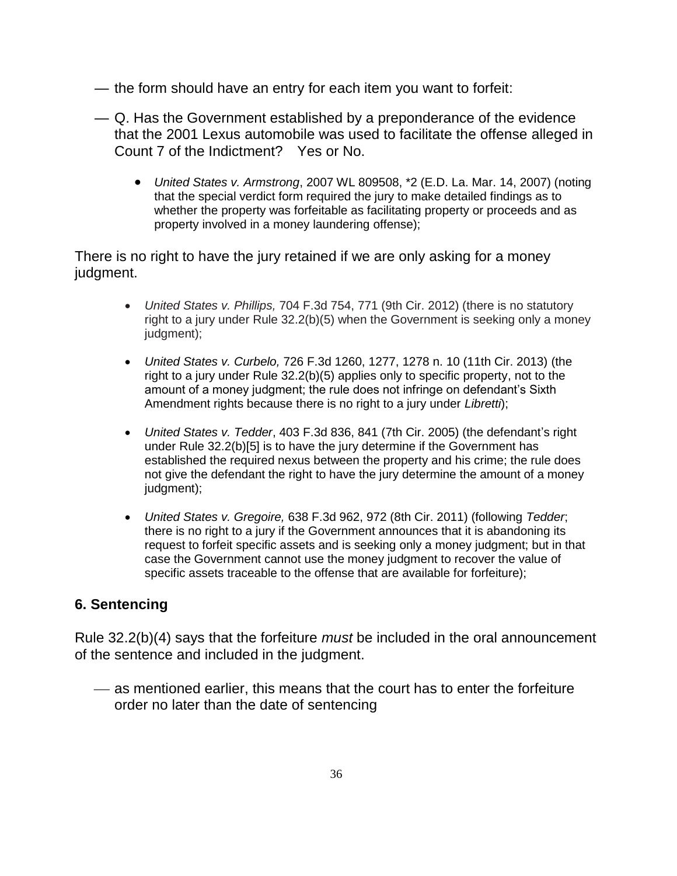- the form should have an entry for each item you want to forfeit:
- Q. Has the Government established by a preponderance of the evidence that the 2001 Lexus automobile was used to facilitate the offense alleged in Count 7 of the Indictment? Yes or No.
	- United States v. Armstrong, 2007 WL 809508, \*2 (E.D. La. Mar. 14, 2007) (noting that the special verdict form required the jury to make detailed findings as to whether the property was forfeitable as facilitating property or proceeds and as property involved in a money laundering offense);

There is no right to have the jury retained if we are only asking for a money judgment.

- United States v. Phillips, 704 F.3d 754, 771 (9th Cir. 2012) (there is no statutory right to a jury under Rule 32.2(b)(5) when the Government is seeking only a money judgment);
- United States v. Curbelo, 726 F.3d 1260, 1277, 1278 n. 10 (11th Cir. 2013) (the right to a jury under Rule 32.2(b)(5) applies only to specific property, not to the amount of a money judgment; the rule does not infringe on defendant's Sixth Amendment rights because there is no right to a jury under Libretti);
- United States v. Tedder, 403 F.3d 836, 841 (7th Cir. 2005) (the defendant's right under Rule 32.2(b)[5] is to have the jury determine if the Government has established the required nexus between the property and his crime; the rule does not give the defendant the right to have the jury determine the amount of a money judgment);
- United States v. Gregoire, 638 F.3d 962, 972 (8th Cir. 2011) (following Tedder; there is no right to a jury if the Government announces that it is abandoning its request to forfeit specific assets and is seeking only a money judgment; but in that case the Government cannot use the money judgment to recover the value of specific assets traceable to the offense that are available for forfeiture);

# **6. Sentencing**

Rule 32.2(b)(4) says that the forfeiture *must* be included in the oral announcement of the sentence and included in the judgment.

 as mentioned earlier, this means that the court has to enter the forfeiture order no later than the date of sentencing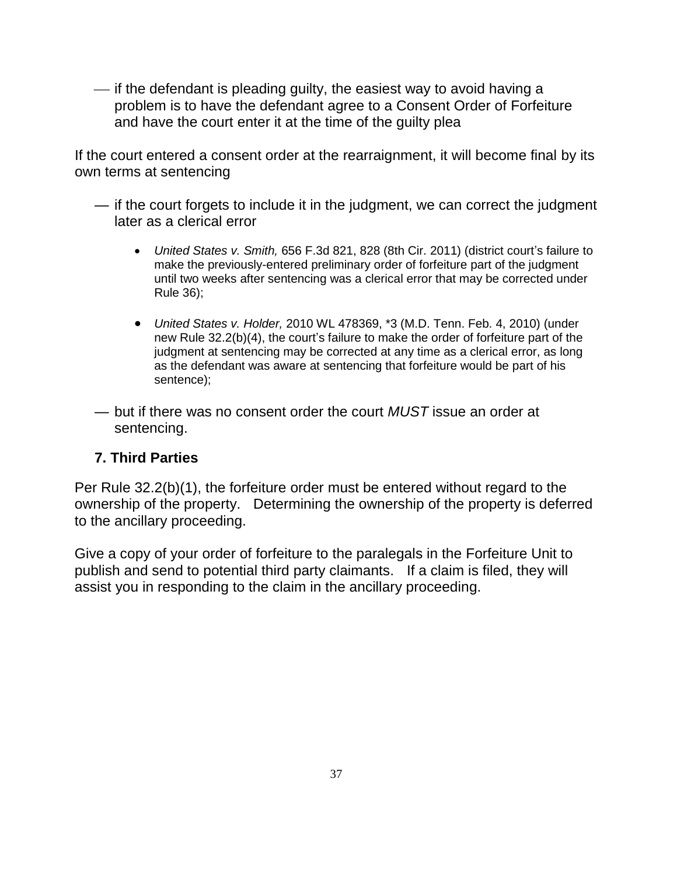$\frac{1}{1}$  if the defendant is pleading guilty, the easiest way to avoid having a problem is to have the defendant agree to a Consent Order of Forfeiture and have the court enter it at the time of the guilty plea

If the court entered a consent order at the rearraignment, it will become final by its own terms at sentencing

- if the court forgets to include it in the judgment, we can correct the judgment later as a clerical error
	- United States v. Smith, 656 F.3d 821, 828 (8th Cir. 2011) (district court's failure to make the previously-entered preliminary order of forfeiture part of the judgment until two weeks after sentencing was a clerical error that may be corrected under Rule 36);
	- United States v. Holder, 2010 WL 478369, \*3 (M.D. Tenn. Feb. 4, 2010) (under new Rule 32.2(b)(4), the court's failure to make the order of forfeiture part of the judgment at sentencing may be corrected at any time as a clerical error, as long as the defendant was aware at sentencing that forfeiture would be part of his sentence);
- but if there was no consent order the court  $MUST$  issue an order at sentencing.

# **7. Third Parties**

Per Rule 32.2(b)(1), the forfeiture order must be entered without regard to the ownership of the property. Determining the ownership of the property is deferred to the ancillary proceeding.

Give a copy of your order of forfeiture to the paralegals in the Forfeiture Unit to publish and send to potential third party claimants. If a claim is filed, they will assist you in responding to the claim in the ancillary proceeding.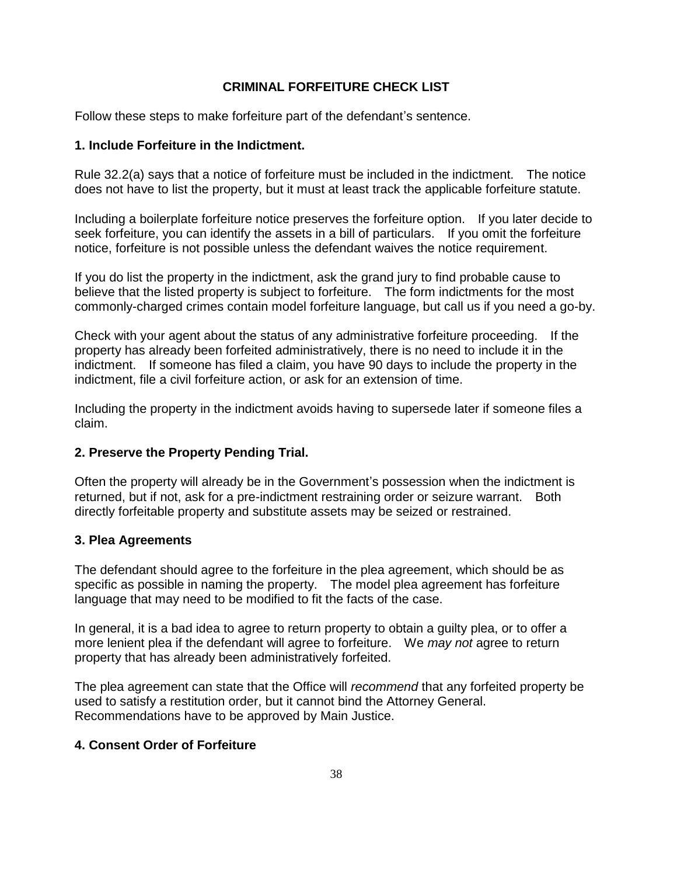#### **CRIMINAL FORFEITURE CHECK LIST**

Follow these steps to make forfeiture part of the defendant's sentence.

#### **1. Include Forfeiture in the Indictment.**

Rule 32.2(a) says that a notice of forfeiture must be included in the indictment. The notice does not have to list the property, but it must at least track the applicable forfeiture statute.

Including a boilerplate forfeiture notice preserves the forfeiture option. If you later decide to seek forfeiture, you can identify the assets in a bill of particulars. If you omit the forfeiture notice, forfeiture is not possible unless the defendant waives the notice requirement.

If you do list the property in the indictment, ask the grand jury to find probable cause to believe that the listed property is subject to forfeiture. The form indictments for the most commonly-charged crimes contain model forfeiture language, but call us if you need a go-by.

Check with your agent about the status of any administrative forfeiture proceeding. If the property has already been forfeited administratively, there is no need to include it in the indictment. If someone has filed a claim, you have 90 days to include the property in the indictment, file a civil forfeiture action, or ask for an extension of time.

Including the property in the indictment avoids having to supersede later if someone files a claim.

#### **2. Preserve the Property Pending Trial.**

Often the property will already be in the Government's possession when the indictment is returned, but if not, ask for a pre-indictment restraining order or seizure warrant. Both directly forfeitable property and substitute assets may be seized or restrained.

#### **3. Plea Agreements**

The defendant should agree to the forfeiture in the plea agreement, which should be as specific as possible in naming the property. The model plea agreement has forfeiture language that may need to be modified to fit the facts of the case.

In general, it is a bad idea to agree to return property to obtain a guilty plea, or to offer a more lenient plea if the defendant will agree to forfeiture. We may not agree to return property that has already been administratively forfeited.

The plea agreement can state that the Office will recommend that any forfeited property be used to satisfy a restitution order, but it cannot bind the Attorney General. Recommendations have to be approved by Main Justice.

#### **4. Consent Order of Forfeiture**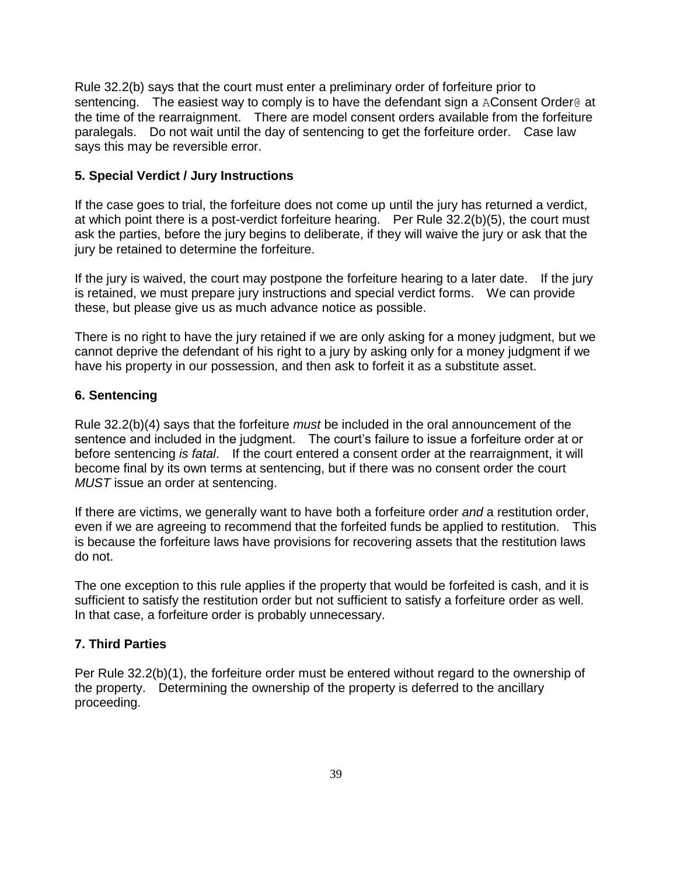Rule 32.2(b) says that the court must enter a preliminary order of forfeiture prior to sentencing. The easiest way to comply is to have the defendant sign a AConsent Order@ at the time of the rearraignment. There are model consent orders available from the forfeiture paralegals. Do not wait until the day of sentencing to get the forfeiture order. Case law says this may be reversible error.

#### **5. Special Verdict / Jury Instructions**

If the case goes to trial, the forfeiture does not come up until the jury has returned a verdict, at which point there is a post-verdict forfeiture hearing. Per Rule 32.2(b)(5), the court must ask the parties, before the jury begins to deliberate, if they will waive the jury or ask that the jury be retained to determine the forfeiture.

If the jury is waived, the court may postpone the forfeiture hearing to a later date. If the jury is retained, we must prepare jury instructions and special verdict forms. We can provide these, but please give us as much advance notice as possible.

There is no right to have the jury retained if we are only asking for a money judgment, but we cannot deprive the defendant of his right to a jury by asking only for a money judgment if we have his property in our possession, and then ask to forfeit it as a substitute asset.

#### **6. Sentencing**

Rule 32.2(b)(4) says that the forfeiture *must* be included in the oral announcement of the sentence and included in the judgment. The court's failure to issue a forfeiture order at or before sentencing is fatal. If the court entered a consent order at the rearraignment, it will become final by its own terms at sentencing, but if there was no consent order the court MUST issue an order at sentencing.

If there are victims, we generally want to have both a forfeiture order and a restitution order, even if we are agreeing to recommend that the forfeited funds be applied to restitution. This is because the forfeiture laws have provisions for recovering assets that the restitution laws do not.

The one exception to this rule applies if the property that would be forfeited is cash, and it is sufficient to satisfy the restitution order but not sufficient to satisfy a forfeiture order as well. In that case, a forfeiture order is probably unnecessary.

#### **7. Third Parties**

Per Rule 32.2(b)(1), the forfeiture order must be entered without regard to the ownership of the property. Determining the ownership of the property is deferred to the ancillary proceeding.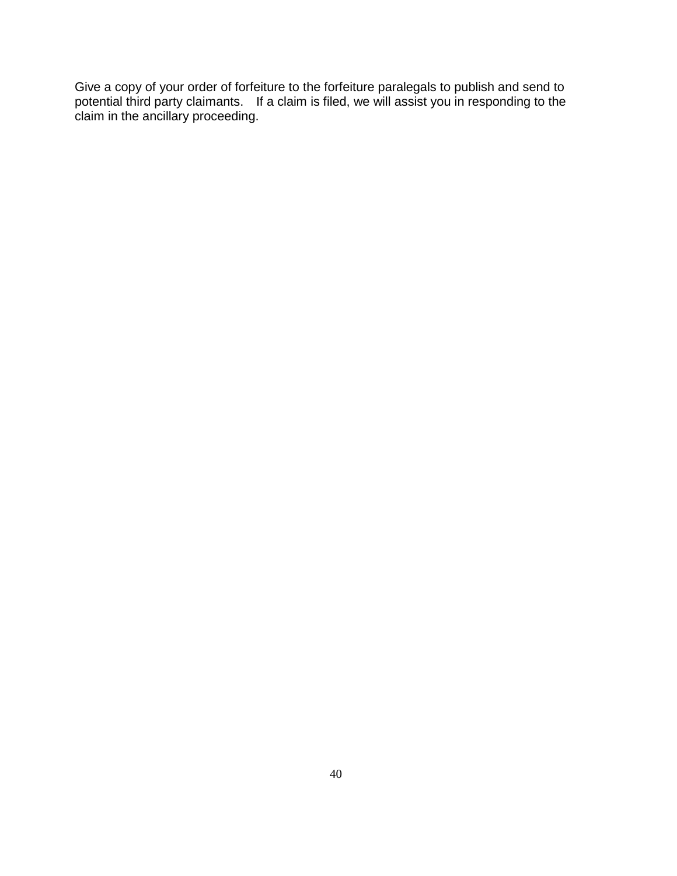Give a copy of your order of forfeiture to the forfeiture paralegals to publish and send to potential third party claimants. If a claim is filed, we will assist you in responding to the claim in the ancillary proceeding.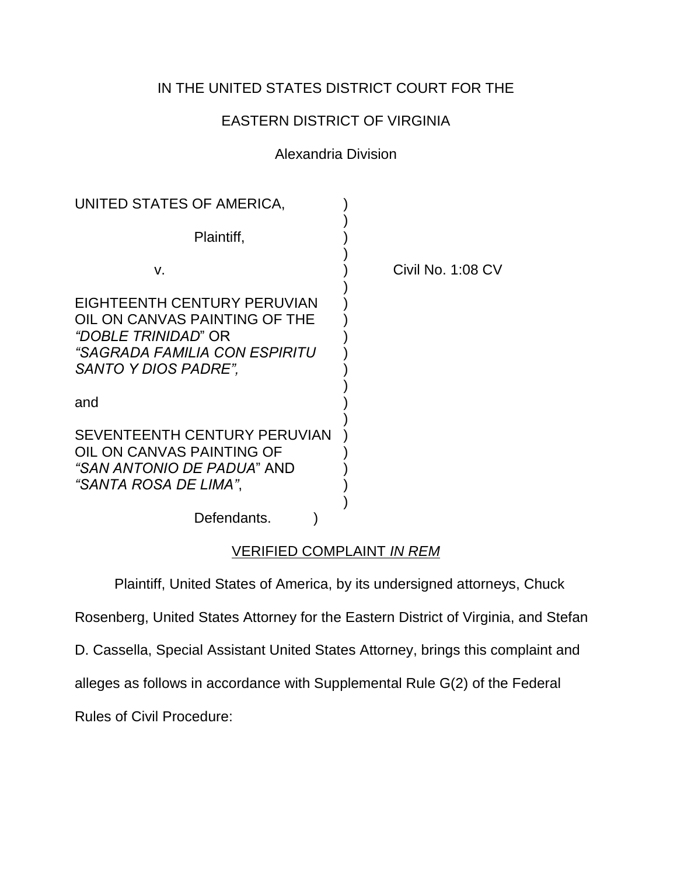# IN THE UNITED STATES DISTRICT COURT FOR THE

# EASTERN DISTRICT OF VIRGINIA

## Alexandria Division

| UNITED STATES OF AMERICA,                                                                                                                           |                   |
|-----------------------------------------------------------------------------------------------------------------------------------------------------|-------------------|
| Plaintiff,                                                                                                                                          |                   |
| V.                                                                                                                                                  | Civil No. 1:08 CV |
| EIGHTEENTH CENTURY PERUVIAN<br>OIL ON CANVAS PAINTING OF THE<br>"DOBLE TRINIDAD" OR<br>"SAGRADA FAMILIA CON ESPIRITU<br><i>SANTO Y DIOS PADRE",</i> |                   |
| and                                                                                                                                                 |                   |
| SEVENTEENTH CENTURY PERUVIAN<br>OIL ON CANVAS PAINTING OF<br>"SAN ANTONIO DE PADUA" AND<br>"SANTA ROSA DE LIMA".                                    |                   |
| Defendants.                                                                                                                                         |                   |

## VERIFIED COMPLAINT IN REM

Plaintiff, United States of America, by its undersigned attorneys, Chuck

Rosenberg, United States Attorney for the Eastern District of Virginia, and Stefan

D. Cassella, Special Assistant United States Attorney, brings this complaint and

alleges as follows in accordance with Supplemental Rule G(2) of the Federal

Rules of Civil Procedure: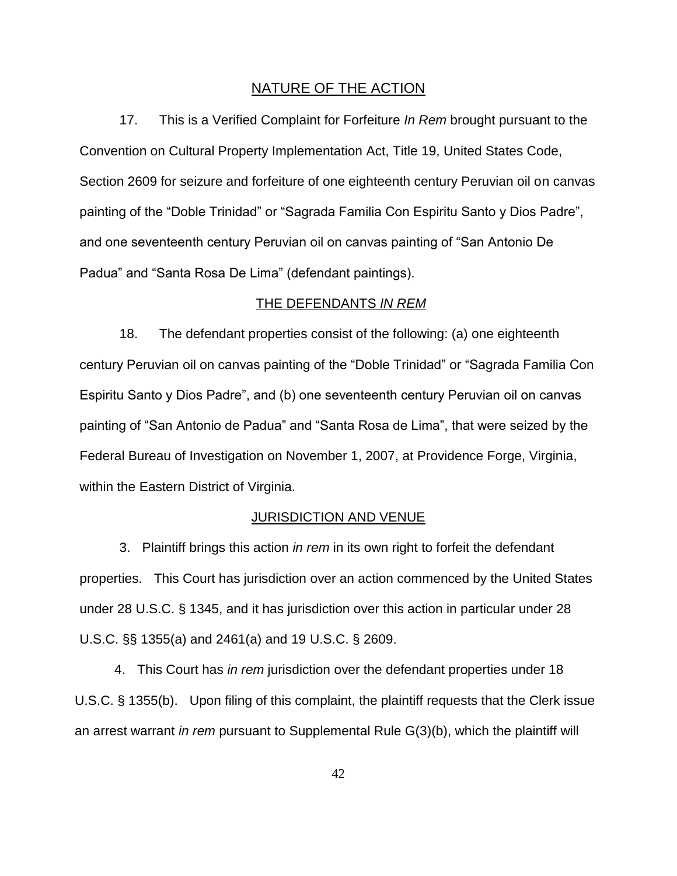#### NATURE OF THE ACTION

17. This is a Verified Complaint for Forfeiture In Rem brought pursuant to the Convention on Cultural Property Implementation Act, Title 19, United States Code, Section 2609 for seizure and forfeiture of one eighteenth century Peruvian oil on canvas painting of the "Doble Trinidad" or "Sagrada Familia Con Espiritu Santo y Dios Padre", and one seventeenth century Peruvian oil on canvas painting of "San Antonio De Padua" and "Santa Rosa De Lima" (defendant paintings).

#### THE DEFENDANTS IN REM

18. The defendant properties consist of the following: (a) one eighteenth century Peruvian oil on canvas painting of the "Doble Trinidad" or "Sagrada Familia Con Espiritu Santo y Dios Padre", and (b) one seventeenth century Peruvian oil on canvas painting of "San Antonio de Padua" and "Santa Rosa de Lima", that were seized by the Federal Bureau of Investigation on November 1, 2007, at Providence Forge, Virginia, within the Eastern District of Virginia.

#### JURISDICTION AND VENUE

3. Plaintiff brings this action in rem in its own right to forfeit the defendant properties. This Court has jurisdiction over an action commenced by the United States under 28 U.S.C. § 1345, and it has jurisdiction over this action in particular under 28 U.S.C. §§ 1355(a) and 2461(a) and 19 U.S.C. § 2609.

4. This Court has in rem jurisdiction over the defendant properties under 18 U.S.C. § 1355(b). Upon filing of this complaint, the plaintiff requests that the Clerk issue an arrest warrant in rem pursuant to Supplemental Rule G(3)(b), which the plaintiff will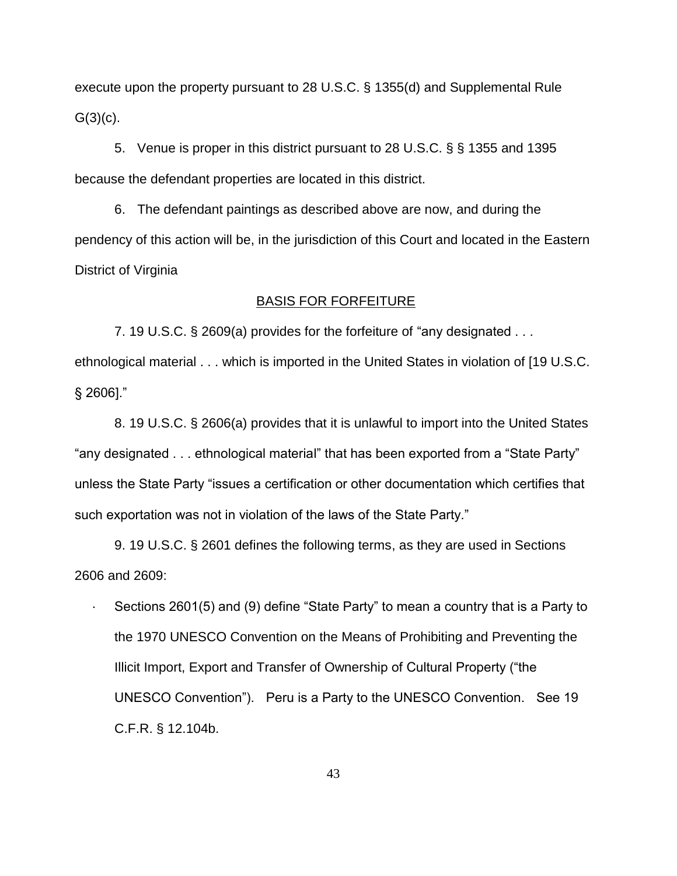execute upon the property pursuant to 28 U.S.C. § 1355(d) and Supplemental Rule  $G(3)(c)$ .

5. Venue is proper in this district pursuant to 28 U.S.C. § § 1355 and 1395 because the defendant properties are located in this district.

6. The defendant paintings as described above are now, and during the pendency of this action will be, in the jurisdiction of this Court and located in the Eastern District of Virginia

#### BASIS FOR FORFEITURE

7. 19 U.S.C. § 2609(a) provides for the forfeiture of "any designated . . . ethnological material . . . which is imported in the United States in violation of [19 U.S.C. § 2606]."

8. 19 U.S.C. § 2606(a) provides that it is unlawful to import into the United States "any designated . . . ethnological material" that has been exported from a "State Party" unless the State Party "issues a certification or other documentation which certifies that such exportation was not in violation of the laws of the State Party."

9. 19 U.S.C. § 2601 defines the following terms, as they are used in Sections 2606 and 2609:

 · Sections 2601(5) and (9) define "State Party" to mean a country that is a Party to the 1970 UNESCO Convention on the Means of Prohibiting and Preventing the Illicit Import, Export and Transfer of Ownership of Cultural Property ("the UNESCO Convention"). Peru is a Party to the UNESCO Convention. See 19 C.F.R. § 12.104b.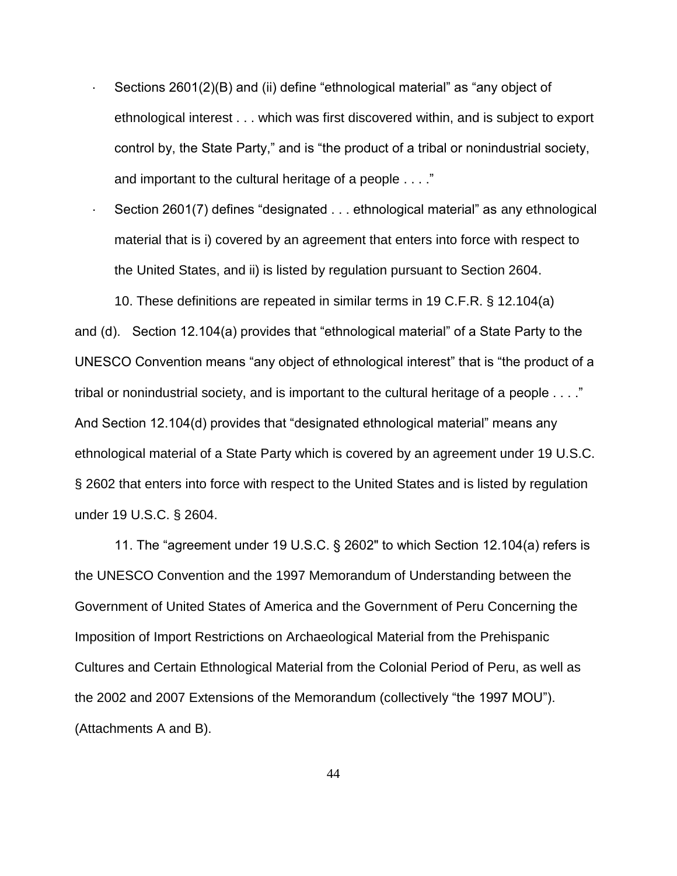- · Sections 2601(2)(B) and (ii) define "ethnological material" as "any object of ethnological interest . . . which was first discovered within, and is subject to export control by, the State Party," and is "the product of a tribal or nonindustrial society, and important to the cultural heritage of a people . . . ."
- Section 2601(7) defines "designated . . . ethnological material" as any ethnological material that is i) covered by an agreement that enters into force with respect to the United States, and ii) is listed by regulation pursuant to Section 2604.

10. These definitions are repeated in similar terms in 19 C.F.R. § 12.104(a) and (d). Section 12.104(a) provides that "ethnological material" of a State Party to the UNESCO Convention means "any object of ethnological interest" that is "the product of a tribal or nonindustrial society, and is important to the cultural heritage of a people . . . ." And Section 12.104(d) provides that "designated ethnological material" means any ethnological material of a State Party which is covered by an agreement under 19 U.S.C. § 2602 that enters into force with respect to the United States and is listed by regulation under 19 U.S.C. § 2604.

11. The "agreement under 19 U.S.C. § 2602" to which Section 12.104(a) refers is the UNESCO Convention and the 1997 Memorandum of Understanding between the Government of United States of America and the Government of Peru Concerning the Imposition of Import Restrictions on Archaeological Material from the Prehispanic Cultures and Certain Ethnological Material from the Colonial Period of Peru, as well as the 2002 and 2007 Extensions of the Memorandum (collectively "the 1997 MOU"). (Attachments A and B).

44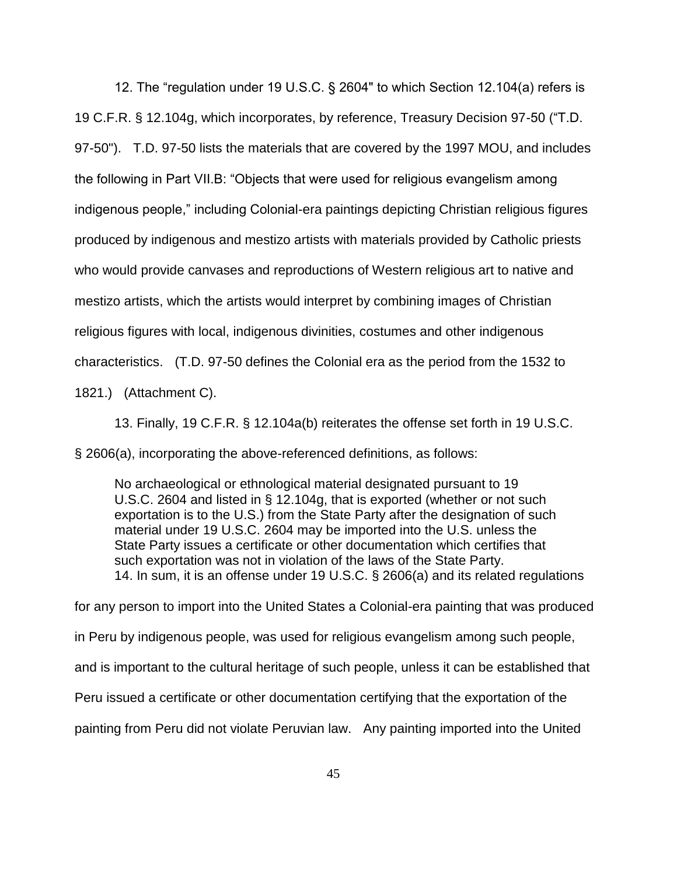12. The "regulation under 19 U.S.C. § 2604" to which Section 12.104(a) refers is 19 C.F.R. § 12.104g, which incorporates, by reference, Treasury Decision 97-50 ("T.D. 97-50"). T.D. 97-50 lists the materials that are covered by the 1997 MOU, and includes the following in Part VII.B: "Objects that were used for religious evangelism among indigenous people," including Colonial-era paintings depicting Christian religious figures produced by indigenous and mestizo artists with materials provided by Catholic priests who would provide canvases and reproductions of Western religious art to native and mestizo artists, which the artists would interpret by combining images of Christian religious figures with local, indigenous divinities, costumes and other indigenous characteristics. (T.D. 97-50 defines the Colonial era as the period from the 1532 to 1821.) (Attachment C).

13. Finally, 19 C.F.R. § 12.104a(b) reiterates the offense set forth in 19 U.S.C. § 2606(a), incorporating the above-referenced definitions, as follows:

No archaeological or ethnological material designated pursuant to 19 U.S.C. 2604 and listed in § 12.104g, that is exported (whether or not such exportation is to the U.S.) from the State Party after the designation of such material under 19 U.S.C. 2604 may be imported into the U.S. unless the State Party issues a certificate or other documentation which certifies that such exportation was not in violation of the laws of the State Party. 14. In sum, it is an offense under 19 U.S.C. § 2606(a) and its related regulations

for any person to import into the United States a Colonial-era painting that was produced in Peru by indigenous people, was used for religious evangelism among such people, and is important to the cultural heritage of such people, unless it can be established that Peru issued a certificate or other documentation certifying that the exportation of the painting from Peru did not violate Peruvian law. Any painting imported into the United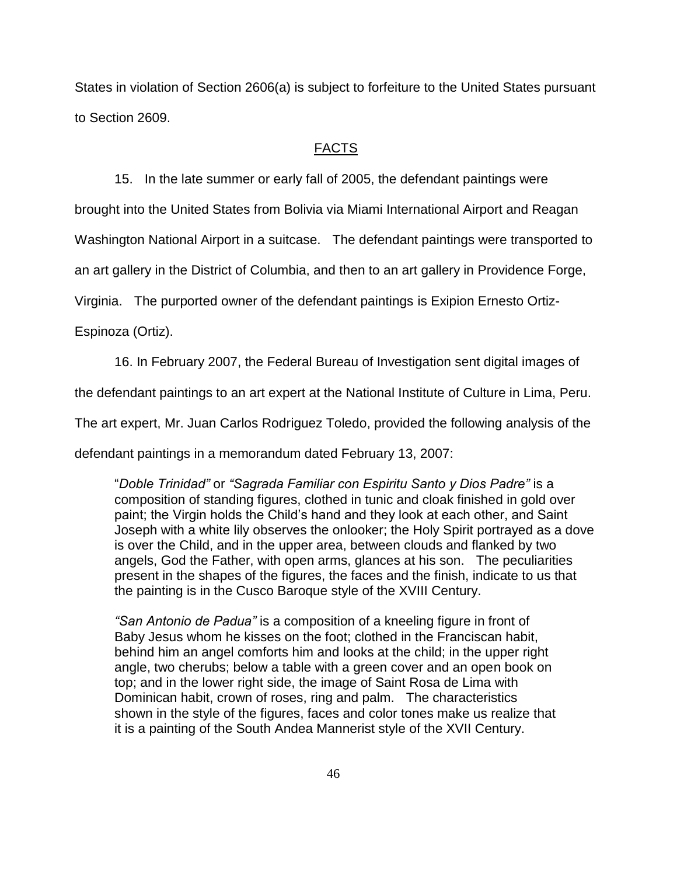States in violation of Section 2606(a) is subject to forfeiture to the United States pursuant to Section 2609.

#### FACTS

15. In the late summer or early fall of 2005, the defendant paintings were

brought into the United States from Bolivia via Miami International Airport and Reagan

Washington National Airport in a suitcase. The defendant paintings were transported to

an art gallery in the District of Columbia, and then to an art gallery in Providence Forge,

Virginia. The purported owner of the defendant paintings is Exipion Ernesto Ortiz-

Espinoza (Ortiz).

16. In February 2007, the Federal Bureau of Investigation sent digital images of

the defendant paintings to an art expert at the National Institute of Culture in Lima, Peru.

The art expert, Mr. Juan Carlos Rodriguez Toledo, provided the following analysis of the

defendant paintings in a memorandum dated February 13, 2007:

"*Doble Trinidad"* or *"Sagrada Familiar con Espiritu Santo y Dios Padre"* is a composition of standing figures, clothed in tunic and cloak finished in gold over paint; the Virgin holds the Child's hand and they look at each other, and Saint Joseph with a white lily observes the onlooker; the Holy Spirit portrayed as a dove is over the Child, and in the upper area, between clouds and flanked by two angels, God the Father, with open arms, glances at his son. The peculiarities present in the shapes of the figures, the faces and the finish, indicate to us that the painting is in the Cusco Baroque style of the XVIII Century.

*"San Antonio de Padua"* is a composition of a kneeling figure in front of Baby Jesus whom he kisses on the foot; clothed in the Franciscan habit, behind him an angel comforts him and looks at the child; in the upper right angle, two cherubs; below a table with a green cover and an open book on top; and in the lower right side, the image of Saint Rosa de Lima with Dominican habit, crown of roses, ring and palm. The characteristics shown in the style of the figures, faces and color tones make us realize that it is a painting of the South Andea Mannerist style of the XVII Century.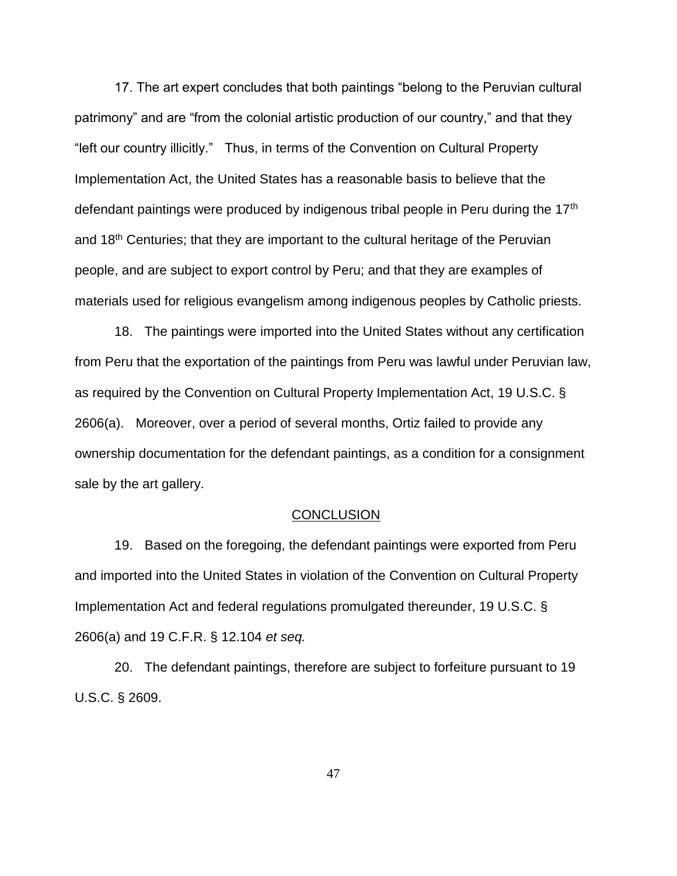17. The art expert concludes that both paintings "belong to the Peruvian cultural patrimony" and are "from the colonial artistic production of our country," and that they "left our country illicitly." Thus, in terms of the Convention on Cultural Property Implementation Act, the United States has a reasonable basis to believe that the defendant paintings were produced by indigenous tribal people in Peru during the  $17<sup>th</sup>$ and  $18<sup>th</sup>$  Centuries; that they are important to the cultural heritage of the Peruvian people, and are subject to export control by Peru; and that they are examples of materials used for religious evangelism among indigenous peoples by Catholic priests.

18. The paintings were imported into the United States without any certification from Peru that the exportation of the paintings from Peru was lawful under Peruvian law, as required by the Convention on Cultural Property Implementation Act, 19 U.S.C. § 2606(a). Moreover, over a period of several months, Ortiz failed to provide any ownership documentation for the defendant paintings, as a condition for a consignment sale by the art gallery.

#### **CONCLUSION**

19. Based on the foregoing, the defendant paintings were exported from Peru and imported into the United States in violation of the Convention on Cultural Property Implementation Act and federal regulations promulgated thereunder, 19 U.S.C. § 2606(a) and 19 C.F.R. § 12.104 et seq.

20. The defendant paintings, therefore are subject to forfeiture pursuant to 19 U.S.C. § 2609.

47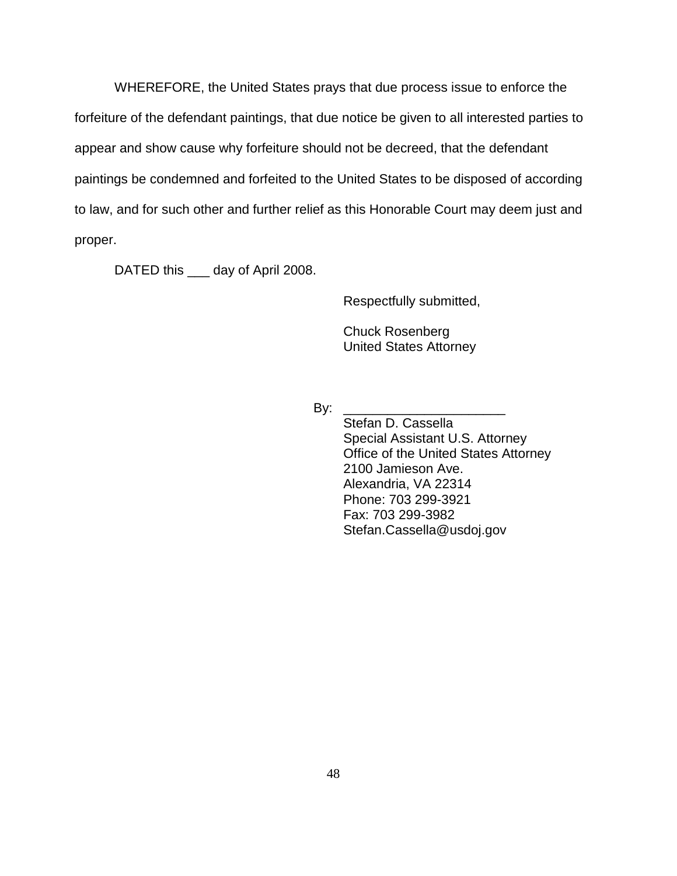WHEREFORE, the United States prays that due process issue to enforce the forfeiture of the defendant paintings, that due notice be given to all interested parties to appear and show cause why forfeiture should not be decreed, that the defendant paintings be condemned and forfeited to the United States to be disposed of according to law, and for such other and further relief as this Honorable Court may deem just and proper.

DATED this <u>eac</u> day of April 2008.

Respectfully submitted,

Chuck Rosenberg United States Attorney

 $\mathsf{By:}$ 

Stefan D. Cassella Special Assistant U.S. Attorney Office of the United States Attorney 2100 Jamieson Ave. Alexandria, VA 22314 Phone: 703 299-3921 Fax: 703 299-3982 Stefan.Cassella@usdoj.gov